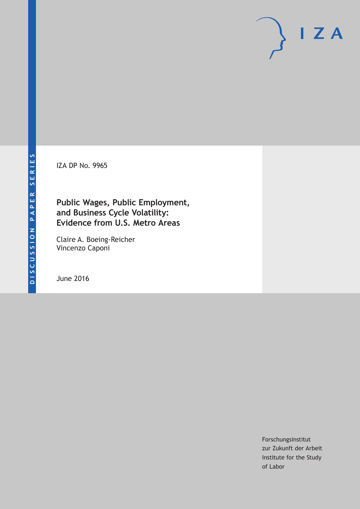IZA DP No. 9965

### **Public Wages, Public Employment, and Business Cycle Volatility: Evidence from U.S. Metro Areas**

Claire A. Boeing-Reicher Vincenzo Caponi

June 2016

Forschungsinstitut zur Zukunft der Arbeit Institute for the Study of Labor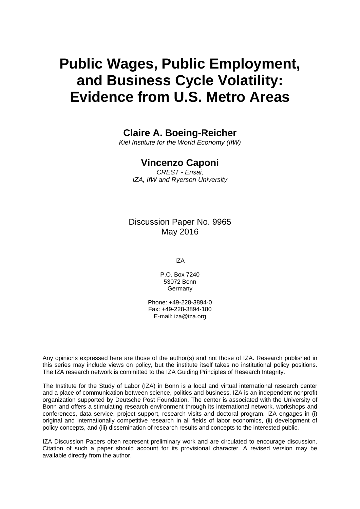# **Public Wages, Public Employment, and Business Cycle Volatility: Evidence from U.S. Metro Areas**

### **Claire A. Boeing-Reicher**

*Kiel Institute for the World Economy (IfW)* 

### **Vincenzo Caponi**

*CREST - Ensai, IZA, IfW and Ryerson University* 

### Discussion Paper No. 9965 May 2016

IZA

P.O. Box 7240 53072 Bonn **Germany** 

Phone: +49-228-3894-0 Fax: +49-228-3894-180 E-mail: iza@iza.org

Any opinions expressed here are those of the author(s) and not those of IZA. Research published in this series may include views on policy, but the institute itself takes no institutional policy positions. The IZA research network is committed to the IZA Guiding Principles of Research Integrity.

The Institute for the Study of Labor (IZA) in Bonn is a local and virtual international research center and a place of communication between science, politics and business. IZA is an independent nonprofit organization supported by Deutsche Post Foundation. The center is associated with the University of Bonn and offers a stimulating research environment through its international network, workshops and conferences, data service, project support, research visits and doctoral program. IZA engages in (i) original and internationally competitive research in all fields of labor economics, (ii) development of policy concepts, and (iii) dissemination of research results and concepts to the interested public.

IZA Discussion Papers often represent preliminary work and are circulated to encourage discussion. Citation of such a paper should account for its provisional character. A revised version may be available directly from the author.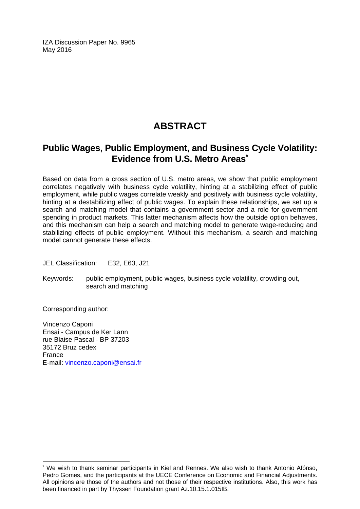IZA Discussion Paper No. 9965 May 2016

### **ABSTRACT**

### **Public Wages, Public Employment, and Business Cycle Volatility: Evidence from U.S. Metro Areas\***

Based on data from a cross section of U.S. metro areas, we show that public employment correlates negatively with business cycle volatility, hinting at a stabilizing effect of public employment, while public wages correlate weakly and positively with business cycle volatility, hinting at a destabilizing effect of public wages. To explain these relationships, we set up a search and matching model that contains a government sector and a role for government spending in product markets. This latter mechanism affects how the outside option behaves, and this mechanism can help a search and matching model to generate wage-reducing and stabilizing effects of public employment. Without this mechanism, a search and matching model cannot generate these effects.

JEL Classification: E32, E63, J21

Keywords: public employment, public wages, business cycle volatility, crowding out, search and matching

Corresponding author:

 $\overline{\phantom{a}}$ 

Vincenzo Caponi Ensai - Campus de Ker Lann rue Blaise Pascal - BP 37203 35172 Bruz cedex France E-mail: vincenzo.caponi@ensai.fr

<sup>\*</sup> We wish to thank seminar participants in Kiel and Rennes. We also wish to thank Antonio Afónso, Pedro Gomes, and the participants at the UECE Conference on Economic and Financial Adjustments. All opinions are those of the authors and not those of their respective institutions. Also, this work has been financed in part by Thyssen Foundation grant Az.10.15.1.015IB.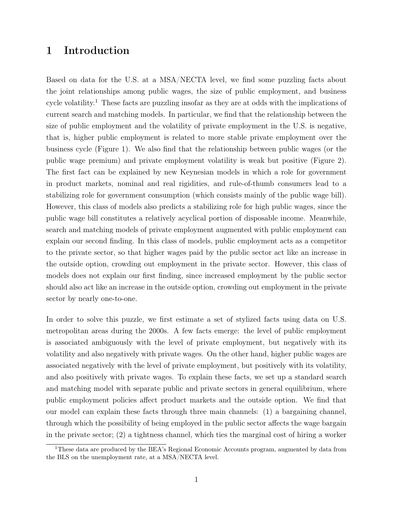### 1 Introduction

Based on data for the U.S. at a MSA/NECTA level, we find some puzzling facts about the joint relationships among public wages, the size of public employment, and business cycle volatility.<sup>1</sup> These facts are puzzling insofar as they are at odds with the implications of current search and matching models. In particular, we find that the relationship between the size of public employment and the volatility of private employment in the U.S. is negative, that is, higher public employment is related to more stable private employment over the business cycle (Figure 1). We also find that the relationship between public wages (or the public wage premium) and private employment volatility is weak but positive (Figure 2). The first fact can be explained by new Keynesian models in which a role for government in product markets, nominal and real rigidities, and rule-of-thumb consumers lead to a stabilizing role for government consumption (which consists mainly of the public wage bill). However, this class of models also predicts a stabilizing role for high public wages, since the public wage bill constitutes a relatively acyclical portion of disposable income. Meanwhile, search and matching models of private employment augmented with public employment can explain our second finding. In this class of models, public employment acts as a competitor to the private sector, so that higher wages paid by the public sector act like an increase in the outside option, crowding out employment in the private sector. However, this class of models does not explain our first finding, since increased employment by the public sector should also act like an increase in the outside option, crowding out employment in the private sector by nearly one-to-one.

In order to solve this puzzle, we first estimate a set of stylized facts using data on U.S. metropolitan areas during the 2000s. A few facts emerge: the level of public employment is associated ambiguously with the level of private employment, but negatively with its volatility and also negatively with private wages. On the other hand, higher public wages are associated negatively with the level of private employment, but positively with its volatility, and also positively with private wages. To explain these facts, we set up a standard search and matching model with separate public and private sectors in general equilibrium, where public employment policies affect product markets and the outside option. We find that our model can explain these facts through three main channels: (1) a bargaining channel, through which the possibility of being employed in the public sector affects the wage bargain in the private sector; (2) a tightness channel, which ties the marginal cost of hiring a worker

<sup>&</sup>lt;sup>1</sup>These data are produced by the BEA's Regional Economic Accounts program, augmented by data from the BLS on the unemployment rate, at a MSA/NECTA level.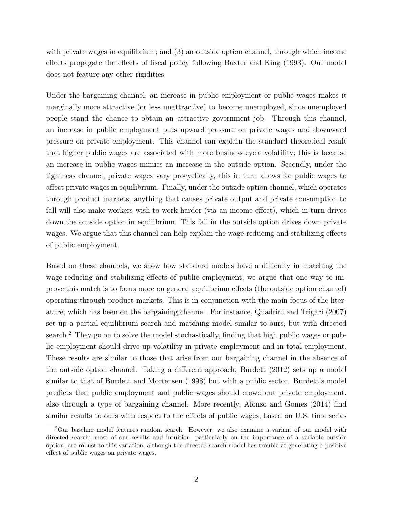with private wages in equilibrium; and (3) an outside option channel, through which income effects propagate the effects of fiscal policy following Baxter and King (1993). Our model does not feature any other rigidities.

Under the bargaining channel, an increase in public employment or public wages makes it marginally more attractive (or less unattractive) to become unemployed, since unemployed people stand the chance to obtain an attractive government job. Through this channel, an increase in public employment puts upward pressure on private wages and downward pressure on private employment. This channel can explain the standard theoretical result that higher public wages are associated with more business cycle volatility; this is because an increase in public wages mimics an increase in the outside option. Secondly, under the tightness channel, private wages vary procyclically, this in turn allows for public wages to affect private wages in equilibrium. Finally, under the outside option channel, which operates through product markets, anything that causes private output and private consumption to fall will also make workers wish to work harder (via an income effect), which in turn drives down the outside option in equilibrium. This fall in the outside option drives down private wages. We argue that this channel can help explain the wage-reducing and stabilizing effects of public employment.

Based on these channels, we show how standard models have a difficulty in matching the wage-reducing and stabilizing effects of public employment; we argue that one way to improve this match is to focus more on general equilibrium effects (the outside option channel) operating through product markets. This is in conjunction with the main focus of the literature, which has been on the bargaining channel. For instance, Quadrini and Trigari (2007) set up a partial equilibrium search and matching model similar to ours, but with directed search.<sup>2</sup> They go on to solve the model stochastically, finding that high public wages or public employment should drive up volatility in private employment and in total employment. These results are similar to those that arise from our bargaining channel in the absence of the outside option channel. Taking a different approach, Burdett (2012) sets up a model similar to that of Burdett and Mortensen (1998) but with a public sector. Burdett's model predicts that public employment and public wages should crowd out private employment, also through a type of bargaining channel. More recently, Afonso and Gomes (2014) find similar results to ours with respect to the effects of public wages, based on U.S. time series

<sup>2</sup>Our baseline model features random search. However, we also examine a variant of our model with directed search; most of our results and intuition, particularly on the importance of a variable outside option, are robust to this variation, although the directed search model has trouble at generating a positive effect of public wages on private wages.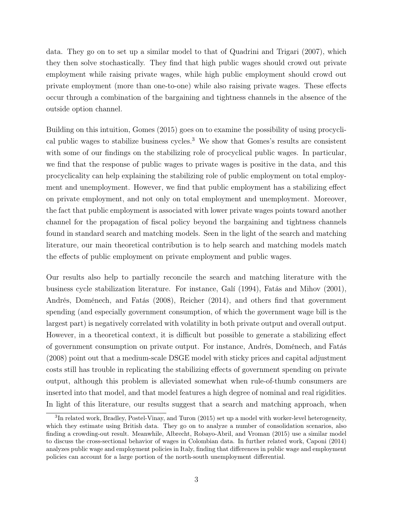data. They go on to set up a similar model to that of Quadrini and Trigari (2007), which they then solve stochastically. They find that high public wages should crowd out private employment while raising private wages, while high public employment should crowd out private employment (more than one-to-one) while also raising private wages. These effects occur through a combination of the bargaining and tightness channels in the absence of the outside option channel.

Building on this intuition, Gomes (2015) goes on to examine the possibility of using procyclical public wages to stabilize business cycles.<sup>3</sup> We show that Gomes's results are consistent with some of our findings on the stabilizing role of procyclical public wages. In particular, we find that the response of public wages to private wages is positive in the data, and this procyclicality can help explaining the stabilizing role of public employment on total employment and unemployment. However, we find that public employment has a stabilizing effect on private employment, and not only on total employment and unemployment. Moreover, the fact that public employment is associated with lower private wages points toward another channel for the propagation of fiscal policy beyond the bargaining and tightness channels found in standard search and matching models. Seen in the light of the search and matching literature, our main theoretical contribution is to help search and matching models match the effects of public employment on private employment and public wages.

Our results also help to partially reconcile the search and matching literature with the business cycle stabilization literature. For instance, Galí (1994), Fatás and Mihov (2001), Andrés, Doménech, and Fatás (2008), Reicher (2014), and others find that government spending (and especially government consumption, of which the government wage bill is the largest part) is negatively correlated with volatility in both private output and overall output. However, in a theoretical context, it is difficult but possible to generate a stabilizing effect of government consumption on private output. For instance, Andrés, Doménech, and Fatás (2008) point out that a medium-scale DSGE model with sticky prices and capital adjustment costs still has trouble in replicating the stabilizing effects of government spending on private output, although this problem is alleviated somewhat when rule-of-thumb consumers are inserted into that model, and that model features a high degree of nominal and real rigidities. In light of this literature, our results suggest that a search and matching approach, when

<sup>&</sup>lt;sup>3</sup>In related work, Bradley, Postel-Vinay, and Turon (2015) set up a model with worker-level heterogeneity, which they estimate using British data. They go on to analyze a number of consolidation scenarios, also finding a crowding-out result. Meanwhile, Albrecht, Robayo-Abril, and Vroman (2015) use a similar model to discuss the cross-sectional behavior of wages in Colombian data. In further related work, Caponi (2014) analyzes public wage and employment policies in Italy, finding that differences in public wage and employment policies can account for a large portion of the north-south unemployment differential.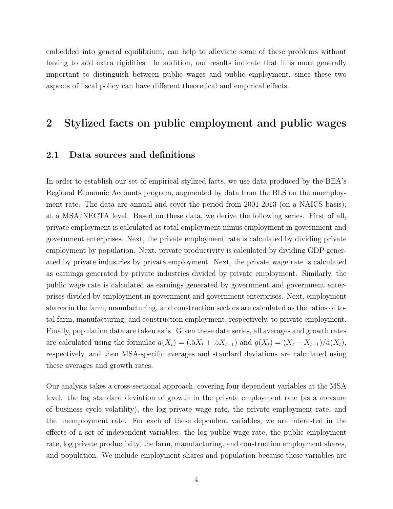embedded into general equilibrium, can help to alleviate some of these problems without having to add extra rigidities. In addition, our results indicate that it is more generally important to distinguish between public wages and public employment, since these two aspects of fiscal policy can have different theoretical and empirical effects.

### 2 Stylized facts on public employment and public wages

#### 2.1 Data sources and definitions

In order to establish our set of empirical stylized facts, we use data produced by the BEA's Regional Economic Accounts program, augmented by data from the BLS on the unemployment rate. The data are annual and cover the period from 2001-2013 (on a NAICS basis), at a MSA/NECTA level. Based on these data, we derive the following series. First of all, private employment is calculated as total employment minus employment in government and government enterprises. Next, the private employment rate is calculated by dividing private employment by population. Next, private productivity is calculated by dividing GDP generated by private industries by private employment. Next, the private wage rate is calculated as earnings generated by private industries divided by private employment. Similarly, the public wage rate is calculated as earnings generated by government and government enterprises divided by employment in government and government enterprises. Next, employment shares in the farm, manufacturing, and construction sectors are calculated as the ratios of total farm, manufacturing, and construction employment, respectively, to private employment. Finally, population data are taken as is. Given these data series, all averages and growth rates are calculated using the formulae  $a(X_t) = (.5X_t + .5X_{t-1})$  and  $g(X_t) = (X_t - X_{t-1})/a(X_t)$ , respectively, and then MSA-specific averages and standard deviations are calculated using these averages and growth rates.

Our analysis takes a cross-sectional approach, covering four dependent variables at the MSA level: the log standard deviation of growth in the private employment rate (as a measure of business cycle volatility), the log private wage rate, the private employment rate, and the unemployment rate. For each of these dependent variables, we are interested in the effects of a set of independent variables: the log public wage rate, the public employment rate, log private productivity, the farm, manufacturing, and construction employment shares, and population. We include employment shares and population because these variables are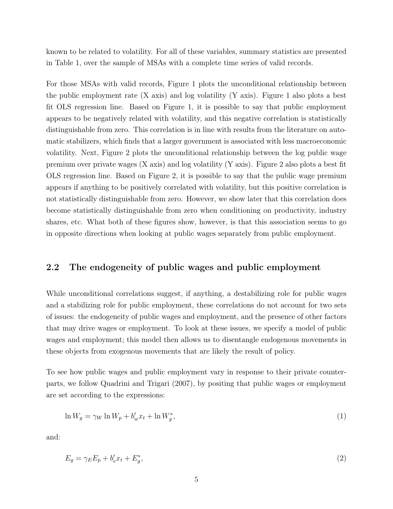known to be related to volatility. For all of these variables, summary statistics are presented in Table 1, over the sample of MSAs with a complete time series of valid records.

For those MSAs with valid records, Figure 1 plots the unconditional relationship between the public employment rate (X axis) and log volatility (Y axis). Figure 1 also plots a best fit OLS regression line. Based on Figure 1, it is possible to say that public employment appears to be negatively related with volatility, and this negative correlation is statistically distinguishable from zero. This correlation is in line with results from the literature on automatic stabilizers, which finds that a larger government is associated with less macroeconomic volatility. Next, Figure 2 plots the unconditional relationship between the log public wage premium over private wages  $(X \text{ axis})$  and log volatility  $(Y \text{ axis})$ . Figure 2 also plots a best fit OLS regression line. Based on Figure 2, it is possible to say that the public wage premium appears if anything to be positively correlated with volatility, but this positive correlation is not statistically distinguishable from zero. However, we show later that this correlation does become statistically distinguishable from zero when conditioning on productivity, industry shares, etc. What both of these figures show, however, is that this association seems to go in opposite directions when looking at public wages separately from public employment.

#### 2.2 The endogeneity of public wages and public employment

While unconditional correlations suggest, if anything, a destabilizing role for public wages and a stabilizing role for public employment, these correlations do not account for two sets of issues: the endogeneity of public wages and employment, and the presence of other factors that may drive wages or employment. To look at these issues, we specify a model of public wages and employment; this model then allows us to disentangle endogenous movements in these objects from exogenous movements that are likely the result of policy.

To see how public wages and public employment vary in response to their private counterparts, we follow Quadrini and Trigari (2007), by positing that public wages or employment are set according to the expressions:

$$
\ln W_g = \gamma_W \ln W_p + b'_w x_t + \ln W_g^*,\tag{1}
$$

and:

$$
E_g = \gamma_E E_p + b'_e x_t + E_g^*,\tag{2}
$$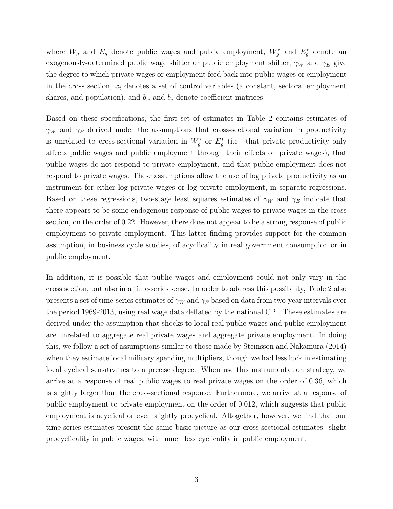where  $W_g$  and  $E_g$  denote public wages and public employment,  $W_g^*$  and  $E_g^*$  denote an exogenously-determined public wage shifter or public employment shifter,  $\gamma_W$  and  $\gamma_E$  give the degree to which private wages or employment feed back into public wages or employment in the cross section,  $x_t$  denotes a set of control variables (a constant, sectoral employment shares, and population), and  $b_w$  and  $b_e$  denote coefficient matrices.

Based on these specifications, the first set of estimates in Table 2 contains estimates of  $\gamma_W$  and  $\gamma_E$  derived under the assumptions that cross-sectional variation in productivity is unrelated to cross-sectional variation in  $W_g^*$  or  $E_g^*$  (i.e. that private productivity only affects public wages and public employment through their effects on private wages), that public wages do not respond to private employment, and that public employment does not respond to private wages. These assumptions allow the use of log private productivity as an instrument for either log private wages or log private employment, in separate regressions. Based on these regressions, two-stage least squares estimates of  $\gamma_W$  and  $\gamma_E$  indicate that there appears to be some endogenous response of public wages to private wages in the cross section, on the order of 0.22. However, there does not appear to be a strong response of public employment to private employment. This latter finding provides support for the common assumption, in business cycle studies, of acyclicality in real government consumption or in public employment.

In addition, it is possible that public wages and employment could not only vary in the cross section, but also in a time-series sense. In order to address this possibility, Table 2 also presents a set of time-series estimates of  $\gamma_W$  and  $\gamma_E$  based on data from two-year intervals over the period 1969-2013, using real wage data deflated by the national CPI. These estimates are derived under the assumption that shocks to local real public wages and public employment are unrelated to aggregate real private wages and aggregate private employment. In doing this, we follow a set of assumptions similar to those made by Steinsson and Nakamura (2014) when they estimate local military spending multipliers, though we had less luck in estimating local cyclical sensitivities to a precise degree. When use this instrumentation strategy, we arrive at a response of real public wages to real private wages on the order of 0.36, which is slightly larger than the cross-sectional response. Furthermore, we arrive at a response of public employment to private employment on the order of 0.012, which suggests that public employment is acyclical or even slightly procyclical. Altogether, however, we find that our time-series estimates present the same basic picture as our cross-sectional estimates: slight procyclicality in public wages, with much less cyclicality in public employment.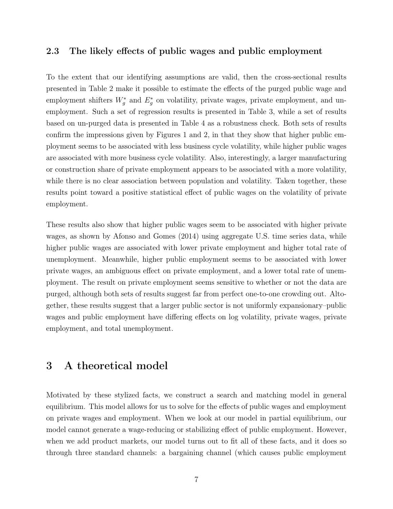#### 2.3 The likely effects of public wages and public employment

To the extent that our identifying assumptions are valid, then the cross-sectional results presented in Table 2 make it possible to estimate the effects of the purged public wage and employment shifters  $W_g^*$  and  $E_g^*$  on volatility, private wages, private employment, and unemployment. Such a set of regression results is presented in Table 3, while a set of results based on un-purged data is presented in Table 4 as a robustness check. Both sets of results confirm the impressions given by Figures 1 and 2, in that they show that higher public employment seems to be associated with less business cycle volatility, while higher public wages are associated with more business cycle volatility. Also, interestingly, a larger manufacturing or construction share of private employment appears to be associated with a more volatility, while there is no clear association between population and volatility. Taken together, these results point toward a positive statistical effect of public wages on the volatility of private employment.

These results also show that higher public wages seem to be associated with higher private wages, as shown by Afonso and Gomes (2014) using aggregate U.S. time series data, while higher public wages are associated with lower private employment and higher total rate of unemployment. Meanwhile, higher public employment seems to be associated with lower private wages, an ambiguous effect on private employment, and a lower total rate of unemployment. The result on private employment seems sensitive to whether or not the data are purged, although both sets of results suggest far from perfect one-to-one crowding out. Altogether, these results suggest that a larger public sector is not uniformly expansionary–public wages and public employment have differing effects on log volatility, private wages, private employment, and total unemployment.

### 3 A theoretical model

Motivated by these stylized facts, we construct a search and matching model in general equilibrium. This model allows for us to solve for the effects of public wages and employment on private wages and employment. When we look at our model in partial equilibrium, our model cannot generate a wage-reducing or stabilizing effect of public employment. However, when we add product markets, our model turns out to fit all of these facts, and it does so through three standard channels: a bargaining channel (which causes public employment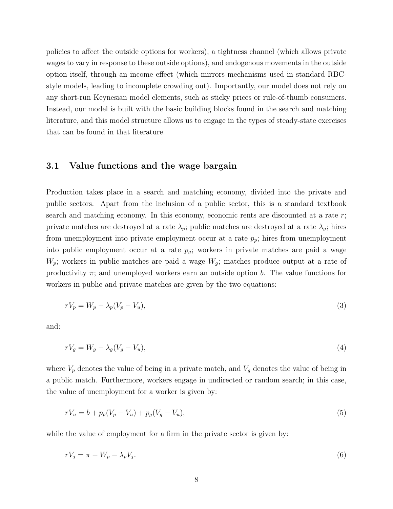policies to affect the outside options for workers), a tightness channel (which allows private wages to vary in response to these outside options), and endogenous movements in the outside option itself, through an income effect (which mirrors mechanisms used in standard RBCstyle models, leading to incomplete crowding out). Importantly, our model does not rely on any short-run Keynesian model elements, such as sticky prices or rule-of-thumb consumers. Instead, our model is built with the basic building blocks found in the search and matching literature, and this model structure allows us to engage in the types of steady-state exercises that can be found in that literature.

#### 3.1 Value functions and the wage bargain

Production takes place in a search and matching economy, divided into the private and public sectors. Apart from the inclusion of a public sector, this is a standard textbook search and matching economy. In this economy, economic rents are discounted at a rate r; private matches are destroyed at a rate  $\lambda_p$ ; public matches are destroyed at a rate  $\lambda_q$ ; hires from unemployment into private employment occur at a rate  $p_p$ ; hires from unemployment into public employment occur at a rate  $p_g$ ; workers in private matches are paid a wage  $W_p$ ; workers in public matches are paid a wage  $W_g$ ; matches produce output at a rate of productivity  $\pi$ ; and unemployed workers earn an outside option b. The value functions for workers in public and private matches are given by the two equations:

$$
rV_p = W_p - \lambda_p (V_p - V_u),\tag{3}
$$

and:

$$
rV_g = W_g - \lambda_g (V_g - V_u),\tag{4}
$$

where  $V_p$  denotes the value of being in a private match, and  $V_g$  denotes the value of being in a public match. Furthermore, workers engage in undirected or random search; in this case, the value of unemployment for a worker is given by:

$$
rV_u = b + p_p(V_p - V_u) + p_g(V_g - V_u),
$$
\n(5)

while the value of employment for a firm in the private sector is given by:

$$
rV_j = \pi - W_p - \lambda_p V_j. \tag{6}
$$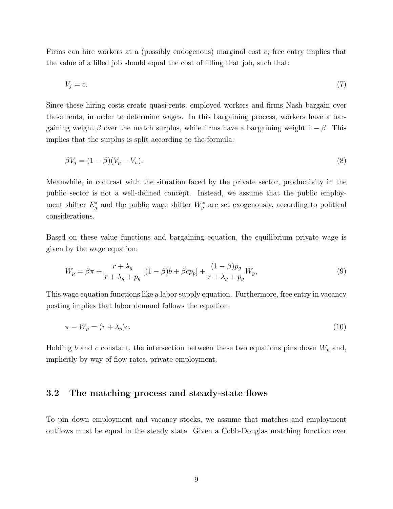Firms can hire workers at a (possibly endogenous) marginal cost c; free entry implies that the value of a filled job should equal the cost of filling that job, such that:

$$
V_j = c.\t\t(7)
$$

Since these hiring costs create quasi-rents, employed workers and firms Nash bargain over these rents, in order to determine wages. In this bargaining process, workers have a bargaining weight  $\beta$  over the match surplus, while firms have a bargaining weight  $1 - \beta$ . This implies that the surplus is split according to the formula:

$$
\beta V_j = (1 - \beta)(V_p - V_u). \tag{8}
$$

Meanwhile, in contrast with the situation faced by the private sector, productivity in the public sector is not a well-defined concept. Instead, we assume that the public employment shifter  $E_g^*$  and the public wage shifter  $W_g^*$  are set exogenously, according to political considerations.

Based on these value functions and bargaining equation, the equilibrium private wage is given by the wage equation:

$$
W_p = \beta \pi + \frac{r + \lambda_g}{r + \lambda_g + p_g} \left[ (1 - \beta)b + \beta cp_p \right] + \frac{(1 - \beta)p_g}{r + \lambda_g + p_g} W_g,\tag{9}
$$

This wage equation functions like a labor supply equation. Furthermore, free entry in vacancy posting implies that labor demand follows the equation:

$$
\pi - W_p = (r + \lambda_p)c.\tag{10}
$$

Holding b and c constant, the intersection between these two equations pins down  $W_p$  and, implicitly by way of flow rates, private employment.

### 3.2 The matching process and steady-state flows

To pin down employment and vacancy stocks, we assume that matches and employment outflows must be equal in the steady state. Given a Cobb-Douglas matching function over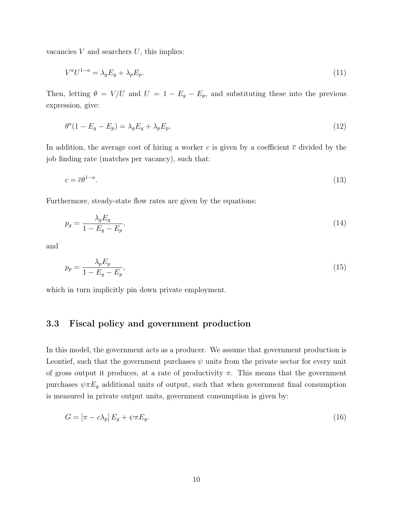vacancies  $V$  and searchers  $U$ , this implies:

$$
V^a U^{1-a} = \lambda_g E_g + \lambda_p E_p. \tag{11}
$$

Then, letting  $\theta = V/U$  and  $U = 1 - E_g - E_p$ , and substituting these into the previous expression, give:

$$
\theta^a (1 - E_g - E_p) = \lambda_g E_g + \lambda_p E_p. \tag{12}
$$

In addition, the average cost of hiring a worker c is given by a coefficient  $\bar{c}$  divided by the job finding rate (matches per vacancy), such that:

$$
c = \overline{c}\theta^{1-a}.\tag{13}
$$

Furthermore, steady-state flow rates are given by the equations:

$$
p_g = \frac{\lambda_g E_g}{1 - E_g - E_p},\tag{14}
$$

and

$$
p_p = \frac{\lambda_p E_p}{1 - E_g - E_p},\tag{15}
$$

which in turn implicitly pin down private employment.

### 3.3 Fiscal policy and government production

In this model, the government acts as a producer. We assume that government production is Leontief, such that the government purchases  $\psi$  units from the private sector for every unit of gross output it produces, at a rate of productivity  $\pi$ . This means that the government purchases  $\psi \pi E_g$  additional units of output, such that when government final consumption is measured in private output units, government consumption is given by:

$$
G = \left[\pi - c\lambda_p\right]E_g + \psi\pi E_g. \tag{16}
$$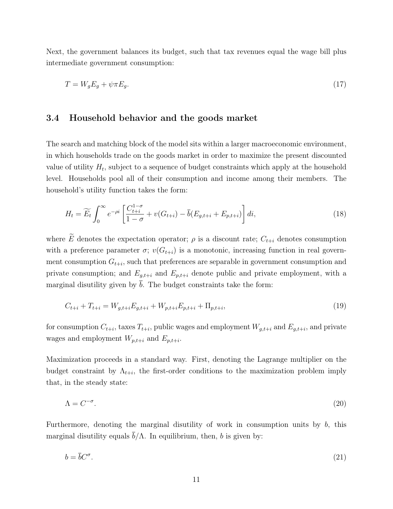Next, the government balances its budget, such that tax revenues equal the wage bill plus intermediate government consumption:

$$
T = W_g E_g + \psi \pi E_g. \tag{17}
$$

#### 3.4 Household behavior and the goods market

The search and matching block of the model sits within a larger macroeconomic environment, in which households trade on the goods market in order to maximize the present discounted value of utility  $H_t$ , subject to a sequence of budget constraints which apply at the household level. Households pool all of their consumption and income among their members. The household's utility function takes the form:

$$
H_t = \widetilde{E_t} \int_0^\infty e^{-\rho i} \left[ \frac{C_{t+i}^{1-\sigma}}{1-\sigma} + v(G_{t+i}) - \overline{b}(E_{g,t+i} + E_{p,t+i}) \right] di,\tag{18}
$$

where  $\widetilde{E}$  denotes the expectation operator;  $\rho$  is a discount rate;  $C_{t+i}$  denotes consumption with a preference parameter  $\sigma$ ;  $v(G_{t+i})$  is a monotonic, increasing function in real government consumption  $G_{t+i}$ , such that preferences are separable in government consumption and private consumption; and  $E_{g,t+i}$  and  $E_{p,t+i}$  denote public and private employment, with a marginal disutility given by  $\overline{b}$ . The budget constraints take the form:

$$
C_{t+i} + T_{t+i} = W_{g,t+i} E_{g,t+i} + W_{p,t+i} E_{p,t+i} + \Pi_{p,t+i},
$$
\n(19)

for consumption  $C_{t+i}$ , taxes  $T_{t+i}$ , public wages and employment  $W_{g,t+i}$  and  $E_{g,t+i}$ , and private wages and employment  $W_{p,t+i}$  and  $E_{p,t+i}$ .

Maximization proceeds in a standard way. First, denoting the Lagrange multiplier on the budget constraint by  $\Lambda_{t+i}$ , the first-order conditions to the maximization problem imply that, in the steady state:

$$
\Lambda = C^{-\sigma}.\tag{20}
$$

Furthermore, denoting the marginal disutility of work in consumption units by  $b$ , this marginal disutility equals  $\overline{b}/\Lambda$ . In equilibrium, then, b is given by:

$$
b = \bar{b}C^{\sigma}.
$$
\n<sup>(21)</sup>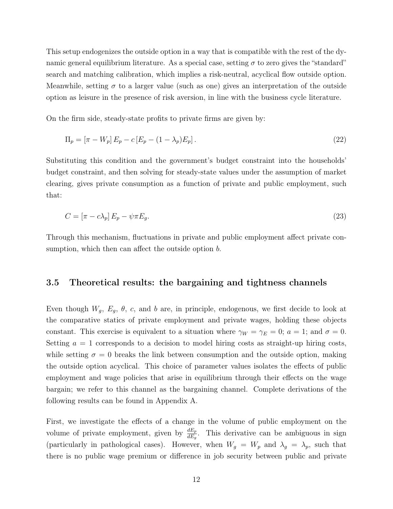This setup endogenizes the outside option in a way that is compatible with the rest of the dynamic general equilibrium literature. As a special case, setting  $\sigma$  to zero gives the "standard" search and matching calibration, which implies a risk-neutral, acyclical flow outside option. Meanwhile, setting  $\sigma$  to a larger value (such as one) gives an interpretation of the outside option as leisure in the presence of risk aversion, in line with the business cycle literature.

On the firm side, steady-state profits to private firms are given by:

$$
\Pi_p = [\pi - W_p] E_p - c [E_p - (1 - \lambda_p) E_p]. \tag{22}
$$

Substituting this condition and the government's budget constraint into the households' budget constraint, and then solving for steady-state values under the assumption of market clearing, gives private consumption as a function of private and public employment, such that:

$$
C = \left[\pi - c\lambda_p\right]E_p - \psi\pi E_g. \tag{23}
$$

Through this mechanism, fluctuations in private and public employment affect private consumption, which then can affect the outside option b.

#### 3.5 Theoretical results: the bargaining and tightness channels

Even though  $W_g$ ,  $E_g$ ,  $\theta$ ,  $c$ , and  $b$  are, in principle, endogenous, we first decide to look at the comparative statics of private employment and private wages, holding these objects constant. This exercise is equivalent to a situation where  $\gamma_W = \gamma_E = 0$ ;  $a = 1$ ; and  $\sigma = 0$ . Setting  $a = 1$  corresponds to a decision to model hiring costs as straight-up hiring costs, while setting  $\sigma = 0$  breaks the link between consumption and the outside option, making the outside option acyclical. This choice of parameter values isolates the effects of public employment and wage policies that arise in equilibrium through their effects on the wage bargain; we refer to this channel as the bargaining channel. Complete derivations of the following results can be found in Appendix A.

First, we investigate the effects of a change in the volume of public employment on the volume of private employment, given by  $\frac{dE_p}{dE_g}$ . This derivative can be ambiguous in sign (particularly in pathological cases). However, when  $W_g = W_p$  and  $\lambda_g = \lambda_p$ , such that there is no public wage premium or difference in job security between public and private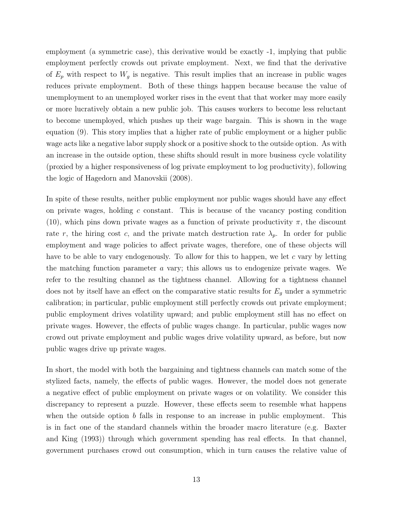employment (a symmetric case), this derivative would be exactly -1, implying that public employment perfectly crowds out private employment. Next, we find that the derivative of  $E_p$  with respect to  $W_g$  is negative. This result implies that an increase in public wages reduces private employment. Both of these things happen because because the value of unemployment to an unemployed worker rises in the event that that worker may more easily or more lucratively obtain a new public job. This causes workers to become less reluctant to become unemployed, which pushes up their wage bargain. This is shown in the wage equation (9). This story implies that a higher rate of public employment or a higher public wage acts like a negative labor supply shock or a positive shock to the outside option. As with an increase in the outside option, these shifts should result in more business cycle volatility (proxied by a higher responsiveness of log private employment to log productivity), following the logic of Hagedorn and Manovskii (2008).

In spite of these results, neither public employment nor public wages should have any effect on private wages, holding c constant. This is because of the vacancy posting condition (10), which pins down private wages as a function of private productivity  $\pi$ , the discount rate r, the hiring cost c, and the private match destruction rate  $\lambda_p$ . In order for public employment and wage policies to affect private wages, therefore, one of these objects will have to be able to vary endogenously. To allow for this to happen, we let  $c$  vary by letting the matching function parameter a vary; this allows us to endogenize private wages. We refer to the resulting channel as the tightness channel. Allowing for a tightness channel does not by itself have an effect on the comparative static results for  $E<sub>g</sub>$  under a symmetric calibration; in particular, public employment still perfectly crowds out private employment; public employment drives volatility upward; and public employment still has no effect on private wages. However, the effects of public wages change. In particular, public wages now crowd out private employment and public wages drive volatility upward, as before, but now public wages drive up private wages.

In short, the model with both the bargaining and tightness channels can match some of the stylized facts, namely, the effects of public wages. However, the model does not generate a negative effect of public employment on private wages or on volatility. We consider this discrepancy to represent a puzzle. However, these effects seem to resemble what happens when the outside option  $b$  falls in response to an increase in public employment. This is in fact one of the standard channels within the broader macro literature (e.g. Baxter and King (1993)) through which government spending has real effects. In that channel, government purchases crowd out consumption, which in turn causes the relative value of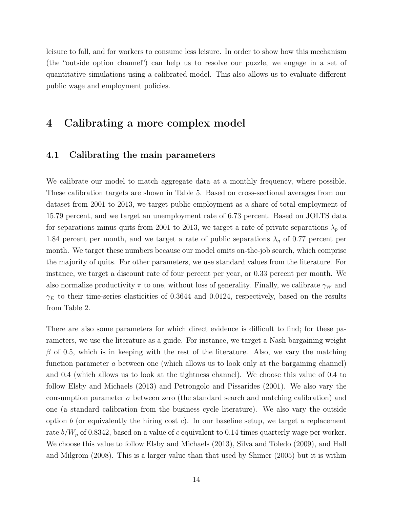leisure to fall, and for workers to consume less leisure. In order to show how this mechanism (the "outside option channel") can help us to resolve our puzzle, we engage in a set of quantitative simulations using a calibrated model. This also allows us to evaluate different public wage and employment policies.

### 4 Calibrating a more complex model

#### 4.1 Calibrating the main parameters

We calibrate our model to match aggregate data at a monthly frequency, where possible. These calibration targets are shown in Table 5. Based on cross-sectional averages from our dataset from 2001 to 2013, we target public employment as a share of total employment of 15.79 percent, and we target an unemployment rate of 6.73 percent. Based on JOLTS data for separations minus quits from 2001 to 2013, we target a rate of private separations  $\lambda_p$  of 1.84 percent per month, and we target a rate of public separations  $\lambda_g$  of 0.77 percent per month. We target these numbers because our model omits on-the-job search, which comprise the majority of quits. For other parameters, we use standard values from the literature. For instance, we target a discount rate of four percent per year, or 0.33 percent per month. We also normalize productivity  $\pi$  to one, without loss of generality. Finally, we calibrate  $\gamma_W$  and  $\gamma_E$  to their time-series elasticities of 0.3644 and 0.0124, respectively, based on the results from Table 2.

There are also some parameters for which direct evidence is difficult to find; for these parameters, we use the literature as a guide. For instance, we target a Nash bargaining weight  $\beta$  of 0.5, which is in keeping with the rest of the literature. Also, we vary the matching function parameter a between one (which allows us to look only at the bargaining channel) and 0.4 (which allows us to look at the tightness channel). We choose this value of 0.4 to follow Elsby and Michaels (2013) and Petrongolo and Pissarides (2001). We also vary the consumption parameter  $\sigma$  between zero (the standard search and matching calibration) and one (a standard calibration from the business cycle literature). We also vary the outside option b (or equivalently the hiring cost c). In our baseline setup, we target a replacement rate  $b/W_p$  of 0.8342, based on a value of c equivalent to 0.14 times quarterly wage per worker. We choose this value to follow Elsby and Michaels (2013), Silva and Toledo (2009), and Hall and Milgrom (2008). This is a larger value than that used by Shimer (2005) but it is within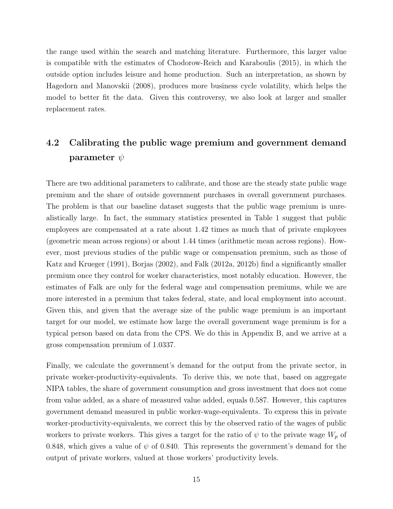the range used within the search and matching literature. Furthermore, this larger value is compatible with the estimates of Chodorow-Reich and Karaboulis (2015), in which the outside option includes leisure and home production. Such an interpretation, as shown by Hagedorn and Manovskii (2008), produces more business cycle volatility, which helps the model to better fit the data. Given this controversy, we also look at larger and smaller replacement rates.

### 4.2 Calibrating the public wage premium and government demand parameter  $\psi$

There are two additional parameters to calibrate, and those are the steady state public wage premium and the share of outside government purchases in overall government purchases. The problem is that our baseline dataset suggests that the public wage premium is unrealistically large. In fact, the summary statistics presented in Table 1 suggest that public employees are compensated at a rate about 1.42 times as much that of private employees (geometric mean across regions) or about 1.44 times (arithmetic mean across regions). However, most previous studies of the public wage or compensation premium, such as those of Katz and Krueger (1991), Borjas (2002), and Falk (2012a, 2012b) find a significantly smaller premium once they control for worker characteristics, most notably education. However, the estimates of Falk are only for the federal wage and compensation premiums, while we are more interested in a premium that takes federal, state, and local employment into account. Given this, and given that the average size of the public wage premium is an important target for our model, we estimate how large the overall government wage premium is for a typical person based on data from the CPS. We do this in Appendix B, and we arrive at a gross compensation premium of 1.0337.

Finally, we calculate the government's demand for the output from the private sector, in private worker-productivity-equivalents. To derive this, we note that, based on aggregate NIPA tables, the share of government consumption and gross investment that does not come from value added, as a share of measured value added, equals 0.587. However, this captures government demand measured in public worker-wage-equivalents. To express this in private worker-productivity-equivalents, we correct this by the observed ratio of the wages of public workers to private workers. This gives a target for the ratio of  $\psi$  to the private wage  $W_p$  of 0.848, which gives a value of  $\psi$  of 0.840. This represents the government's demand for the output of private workers, valued at those workers' productivity levels.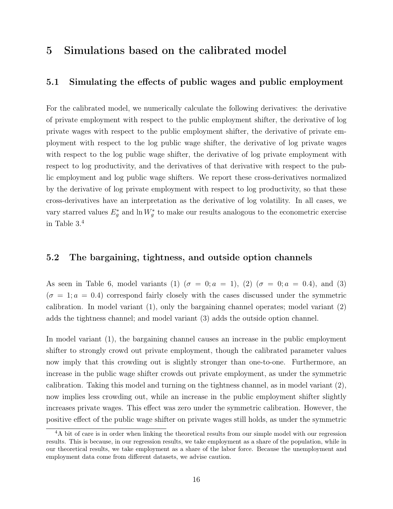### 5 Simulations based on the calibrated model

#### 5.1 Simulating the effects of public wages and public employment

For the calibrated model, we numerically calculate the following derivatives: the derivative of private employment with respect to the public employment shifter, the derivative of log private wages with respect to the public employment shifter, the derivative of private employment with respect to the log public wage shifter, the derivative of log private wages with respect to the log public wage shifter, the derivative of log private employment with respect to log productivity, and the derivatives of that derivative with respect to the public employment and log public wage shifters. We report these cross-derivatives normalized by the derivative of log private employment with respect to log productivity, so that these cross-derivatives have an interpretation as the derivative of log volatility. In all cases, we vary starred values  $E_g^*$  and  $\ln W_g^*$  to make our results analogous to the econometric exercise in Table 3.<sup>4</sup>

#### 5.2 The bargaining, tightness, and outside option channels

As seen in Table 6, model variants (1)  $(\sigma = 0; a = 1)$ , (2)  $(\sigma = 0; a = 0.4)$ , and (3)  $(\sigma = 1; a = 0.4)$  correspond fairly closely with the cases discussed under the symmetric calibration. In model variant  $(1)$ , only the bargaining channel operates; model variant  $(2)$ adds the tightness channel; and model variant (3) adds the outside option channel.

In model variant (1), the bargaining channel causes an increase in the public employment shifter to strongly crowd out private employment, though the calibrated parameter values now imply that this crowding out is slightly stronger than one-to-one. Furthermore, an increase in the public wage shifter crowds out private employment, as under the symmetric calibration. Taking this model and turning on the tightness channel, as in model variant (2), now implies less crowding out, while an increase in the public employment shifter slightly increases private wages. This effect was zero under the symmetric calibration. However, the positive effect of the public wage shifter on private wages still holds, as under the symmetric

<sup>&</sup>lt;sup>4</sup>A bit of care is in order when linking the theoretical results from our simple model with our regression results. This is because, in our regression results, we take employment as a share of the population, while in our theoretical results, we take employment as a share of the labor force. Because the unemployment and employment data come from different datasets, we advise caution.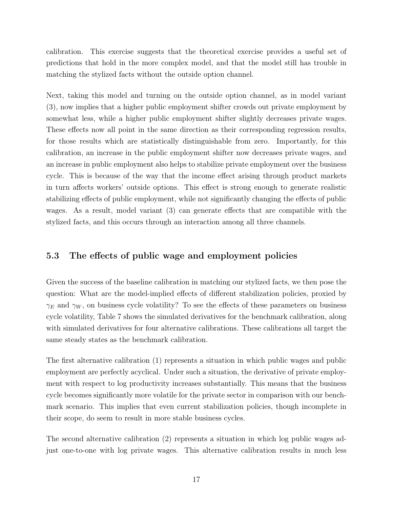calibration. This exercise suggests that the theoretical exercise provides a useful set of predictions that hold in the more complex model, and that the model still has trouble in matching the stylized facts without the outside option channel.

Next, taking this model and turning on the outside option channel, as in model variant (3), now implies that a higher public employment shifter crowds out private employment by somewhat less, while a higher public employment shifter slightly decreases private wages. These effects now all point in the same direction as their corresponding regression results, for those results which are statistically distinguishable from zero. Importantly, for this calibration, an increase in the public employment shifter now decreases private wages, and an increase in public employment also helps to stabilize private employment over the business cycle. This is because of the way that the income effect arising through product markets in turn affects workers' outside options. This effect is strong enough to generate realistic stabilizing effects of public employment, while not significantly changing the effects of public wages. As a result, model variant (3) can generate effects that are compatible with the stylized facts, and this occurs through an interaction among all three channels.

#### 5.3 The effects of public wage and employment policies

Given the success of the baseline calibration in matching our stylized facts, we then pose the question: What are the model-implied effects of different stabilization policies, proxied by  $\gamma_E$  and  $\gamma_W$ , on business cycle volatility? To see the effects of these parameters on business cycle volatility, Table 7 shows the simulated derivatives for the benchmark calibration, along with simulated derivatives for four alternative calibrations. These calibrations all target the same steady states as the benchmark calibration.

The first alternative calibration (1) represents a situation in which public wages and public employment are perfectly acyclical. Under such a situation, the derivative of private employment with respect to log productivity increases substantially. This means that the business cycle becomes significantly more volatile for the private sector in comparison with our benchmark scenario. This implies that even current stabilization policies, though incomplete in their scope, do seem to result in more stable business cycles.

The second alternative calibration (2) represents a situation in which log public wages adjust one-to-one with log private wages. This alternative calibration results in much less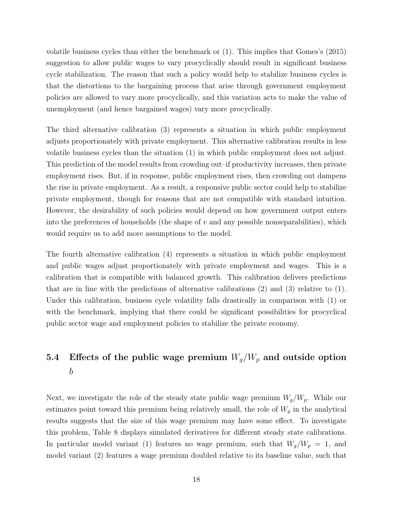volatile business cycles than either the benchmark or (1). This implies that Gomes's (2015) suggestion to allow public wages to vary procyclically should result in significant business cycle stabilization. The reason that such a policy would help to stabilize business cycles is that the distortions to the bargaining process that arise through government employment policies are allowed to vary more procyclically, and this variation acts to make the value of unemployment (and hence bargained wages) vary more procyclically.

The third alternative calibration (3) represents a situation in which public employment adjusts proportionately with private employment. This alternative calibration results in less volatile business cycles than the situation (1) in which public employment does not adjust. This prediction of the model results from crowding out–if productivity increases, then private employment rises. But, if in response, public employment rises, then crowding out dampens the rise in private employment. As a result, a responsive public sector could help to stabilize private employment, though for reasons that are not compatible with standard intuition. However, the desirability of such policies would depend on how government output enters into the preferences of households (the shape of  $v$  and any possible nonseparabilities), which would require us to add more assumptions to the model.

The fourth alternative calibration (4) represents a situation in which public employment and public wages adjust proportionately with private employment and wages. This is a calibration that is compatible with balanced growth. This calibration delivers predictions that are in line with the predictions of alternative calibrations (2) and (3) relative to (1). Under this calibration, business cycle volatility falls drastically in comparison with (1) or with the benchmark, implying that there could be significant possibilities for procyclical public sector wage and employment policies to stabilize the private economy.

### 5.4 Effects of the public wage premium  $W_g/W_p$  and outside option b

Next, we investigate the role of the steady state public wage premium  $W_g/W_p$ . While our estimates point toward this premium being relatively small, the role of  $W<sub>g</sub>$  in the analytical results suggests that the size of this wage premium may have some effect. To investigate this problem, Table 8 displays simulated derivatives for different steady state calibrations. In particular model variant (1) features no wage premium, such that  $W_g/W_p = 1$ , and model variant (2) features a wage premium doubled relative to its baseline value, such that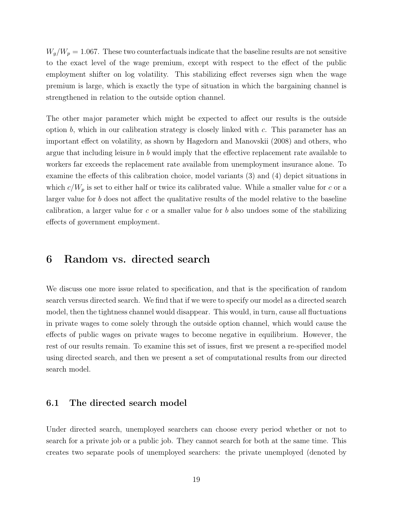$W_g/W_p = 1.067$ . These two counterfactuals indicate that the baseline results are not sensitive to the exact level of the wage premium, except with respect to the effect of the public employment shifter on log volatility. This stabilizing effect reverses sign when the wage premium is large, which is exactly the type of situation in which the bargaining channel is strengthened in relation to the outside option channel.

The other major parameter which might be expected to affect our results is the outside option  $b$ , which in our calibration strategy is closely linked with  $c$ . This parameter has an important effect on volatility, as shown by Hagedorn and Manovskii (2008) and others, who argue that including leisure in b would imply that the effective replacement rate available to workers far exceeds the replacement rate available from unemployment insurance alone. To examine the effects of this calibration choice, model variants (3) and (4) depict situations in which  $c/W_p$  is set to either half or twice its calibrated value. While a smaller value for c or a larger value for b does not affect the qualitative results of the model relative to the baseline calibration, a larger value for c or a smaller value for b also undoes some of the stabilizing effects of government employment.

### 6 Random vs. directed search

We discuss one more issue related to specification, and that is the specification of random search versus directed search. We find that if we were to specify our model as a directed search model, then the tightness channel would disappear. This would, in turn, cause all fluctuations in private wages to come solely through the outside option channel, which would cause the effects of public wages on private wages to become negative in equilibrium. However, the rest of our results remain. To examine this set of issues, first we present a re-specified model using directed search, and then we present a set of computational results from our directed search model.

#### 6.1 The directed search model

Under directed search, unemployed searchers can choose every period whether or not to search for a private job or a public job. They cannot search for both at the same time. This creates two separate pools of unemployed searchers: the private unemployed (denoted by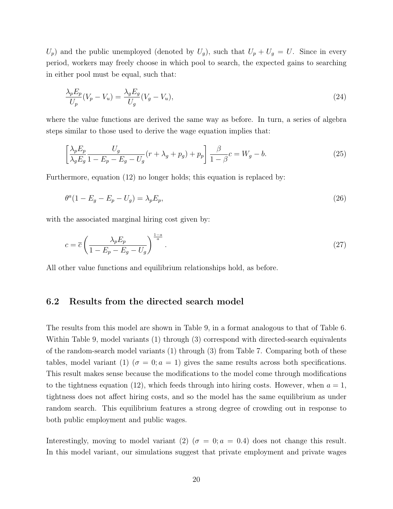$U_p$ ) and the public unemployed (denoted by  $U_g$ ), such that  $U_p + U_g = U$ . Since in every period, workers may freely choose in which pool to search, the expected gains to searching in either pool must be equal, such that:

$$
\frac{\lambda_p E_p}{U_p}(V_p - V_u) = \frac{\lambda_g E_g}{U_g}(V_g - V_u),\tag{24}
$$

where the value functions are derived the same way as before. In turn, a series of algebra steps similar to those used to derive the wage equation implies that:

$$
\left[\frac{\lambda_p E_p}{\lambda_g E_g} \frac{U_g}{1 - E_p - E_g - U_g}(r + \lambda_g + p_g) + p_p\right] \frac{\beta}{1 - \beta} c = W_g - b. \tag{25}
$$

Furthermore, equation (12) no longer holds; this equation is replaced by:

$$
\theta^a (1 - E_g - E_p - U_g) = \lambda_p E_p,\tag{26}
$$

with the associated marginal hiring cost given by:

$$
c = \overline{c} \left( \frac{\lambda_p E_p}{1 - E_p - E_g - U_g} \right)^{\frac{1 - a}{a}}.
$$
\n
$$
(27)
$$

All other value functions and equilibrium relationships hold, as before.

#### 6.2 Results from the directed search model

The results from this model are shown in Table 9, in a format analogous to that of Table 6. Within Table 9, model variants (1) through (3) correspond with directed-search equivalents of the random-search model variants (1) through (3) from Table 7. Comparing both of these tables, model variant (1) ( $\sigma = 0$ ;  $a = 1$ ) gives the same results across both specifications. This result makes sense because the modifications to the model come through modifications to the tightness equation (12), which feeds through into hiring costs. However, when  $a = 1$ , tightness does not affect hiring costs, and so the model has the same equilibrium as under random search. This equilibrium features a strong degree of crowding out in response to both public employment and public wages.

Interestingly, moving to model variant (2) ( $\sigma = 0$ ;  $a = 0.4$ ) does not change this result. In this model variant, our simulations suggest that private employment and private wages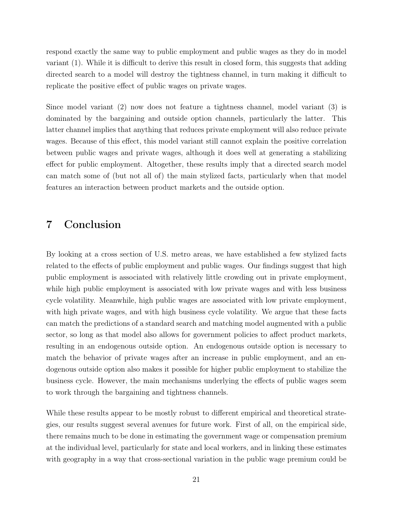respond exactly the same way to public employment and public wages as they do in model variant (1). While it is difficult to derive this result in closed form, this suggests that adding directed search to a model will destroy the tightness channel, in turn making it difficult to replicate the positive effect of public wages on private wages.

Since model variant (2) now does not feature a tightness channel, model variant (3) is dominated by the bargaining and outside option channels, particularly the latter. This latter channel implies that anything that reduces private employment will also reduce private wages. Because of this effect, this model variant still cannot explain the positive correlation between public wages and private wages, although it does well at generating a stabilizing effect for public employment. Altogether, these results imply that a directed search model can match some of (but not all of) the main stylized facts, particularly when that model features an interaction between product markets and the outside option.

### 7 Conclusion

By looking at a cross section of U.S. metro areas, we have established a few stylized facts related to the effects of public employment and public wages. Our findings suggest that high public employment is associated with relatively little crowding out in private employment, while high public employment is associated with low private wages and with less business cycle volatility. Meanwhile, high public wages are associated with low private employment, with high private wages, and with high business cycle volatility. We argue that these facts can match the predictions of a standard search and matching model augmented with a public sector, so long as that model also allows for government policies to affect product markets, resulting in an endogenous outside option. An endogenous outside option is necessary to match the behavior of private wages after an increase in public employment, and an endogenous outside option also makes it possible for higher public employment to stabilize the business cycle. However, the main mechanisms underlying the effects of public wages seem to work through the bargaining and tightness channels.

While these results appear to be mostly robust to different empirical and theoretical strategies, our results suggest several avenues for future work. First of all, on the empirical side, there remains much to be done in estimating the government wage or compensation premium at the individual level, particularly for state and local workers, and in linking these estimates with geography in a way that cross-sectional variation in the public wage premium could be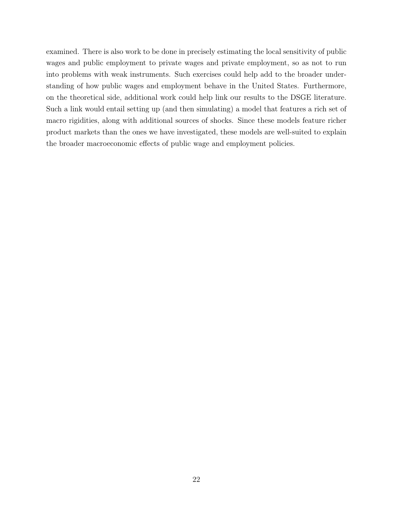examined. There is also work to be done in precisely estimating the local sensitivity of public wages and public employment to private wages and private employment, so as not to run into problems with weak instruments. Such exercises could help add to the broader understanding of how public wages and employment behave in the United States. Furthermore, on the theoretical side, additional work could help link our results to the DSGE literature. Such a link would entail setting up (and then simulating) a model that features a rich set of macro rigidities, along with additional sources of shocks. Since these models feature richer product markets than the ones we have investigated, these models are well-suited to explain the broader macroeconomic effects of public wage and employment policies.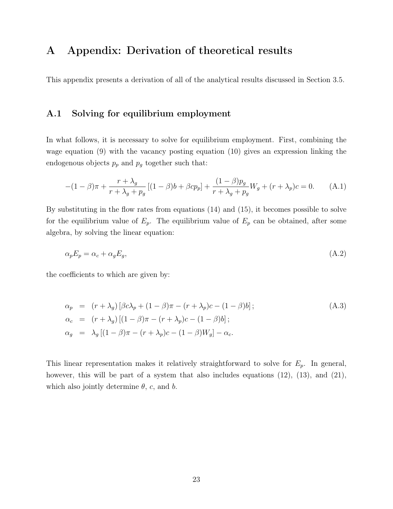### A Appendix: Derivation of theoretical results

This appendix presents a derivation of all of the analytical results discussed in Section 3.5.

#### A.1 Solving for equilibrium employment

In what follows, it is necessary to solve for equilibrium employment. First, combining the wage equation (9) with the vacancy posting equation (10) gives an expression linking the endogenous objects  $p_p$  and  $p_g$  together such that:

$$
-(1 - \beta)\pi + \frac{r + \lambda_g}{r + \lambda_g + p_g} [(1 - \beta)b + \beta cp_p] + \frac{(1 - \beta)p_g}{r + \lambda_g + p_g} W_g + (r + \lambda_p)c = 0.
$$
 (A.1)

By substituting in the flow rates from equations (14) and (15), it becomes possible to solve for the equilibrium value of  $E_p$ . The equilibrium value of  $E_p$  can be obtained, after some algebra, by solving the linear equation:

$$
\alpha_p E_p = \alpha_c + \alpha_g E_g,\tag{A.2}
$$

the coefficients to which are given by:

$$
\alpha_p = (r + \lambda_g) [\beta c \lambda_p + (1 - \beta) \pi - (r + \lambda_p) c - (1 - \beta) b];
$$
  
\n
$$
\alpha_c = (r + \lambda_g) [(1 - \beta) \pi - (r + \lambda_p) c - (1 - \beta) b];
$$
  
\n
$$
\alpha_g = \lambda_g [(1 - \beta) \pi - (r + \lambda_p) c - (1 - \beta) W_g] - \alpha_c.
$$
\n(A.3)

This linear representation makes it relatively straightforward to solve for  $E_p$ . In general, however, this will be part of a system that also includes equations  $(12)$ ,  $(13)$ , and  $(21)$ , which also jointly determine  $\theta$ , c, and b.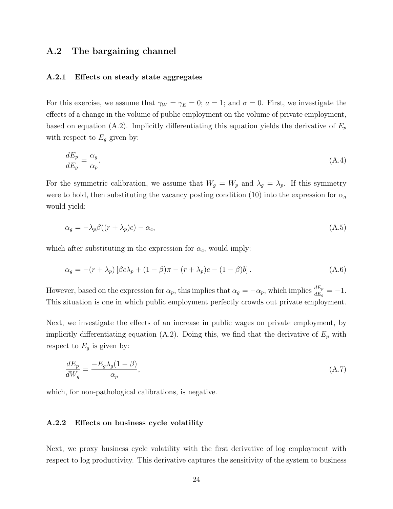#### A.2 The bargaining channel

#### A.2.1 Effects on steady state aggregates

For this exercise, we assume that  $\gamma_W = \gamma_E = 0$ ;  $a = 1$ ; and  $\sigma = 0$ . First, we investigate the effects of a change in the volume of public employment on the volume of private employment, based on equation (A.2). Implicitly differentiating this equation yields the derivative of  $E_p$ with respect to  $E_g$  given by:

$$
\frac{dE_p}{dE_g} = \frac{\alpha_g}{\alpha_p}.\tag{A.4}
$$

For the symmetric calibration, we assume that  $W_g = W_p$  and  $\lambda_g = \lambda_p$ . If this symmetry were to hold, then substituting the vacancy posting condition (10) into the expression for  $\alpha_g$ would yield:

$$
\alpha_g = -\lambda_p \beta((r + \lambda_p)c) - \alpha_c,\tag{A.5}
$$

which after substituting in the expression for  $\alpha_c$ , would imply:

$$
\alpha_g = -(r + \lambda_p) \left[ \beta c \lambda_p + (1 - \beta) \pi - (r + \lambda_p) c - (1 - \beta) b \right]. \tag{A.6}
$$

However, based on the expression for  $\alpha_p$ , this implies that  $\alpha_g = -\alpha_p$ , which implies  $\frac{dE_p}{dE_g} = -1$ . This situation is one in which public employment perfectly crowds out private employment.

Next, we investigate the effects of an increase in public wages on private employment, by implicitly differentiating equation (A.2). Doing this, we find that the derivative of  $E_p$  with respect to  $E_g$  is given by:

$$
\frac{dE_p}{dW_g} = \frac{-E_g \lambda_g (1 - \beta)}{\alpha_p},\tag{A.7}
$$

which, for non-pathological calibrations, is negative.

#### A.2.2 Effects on business cycle volatility

Next, we proxy business cycle volatility with the first derivative of log employment with respect to log productivity. This derivative captures the sensitivity of the system to business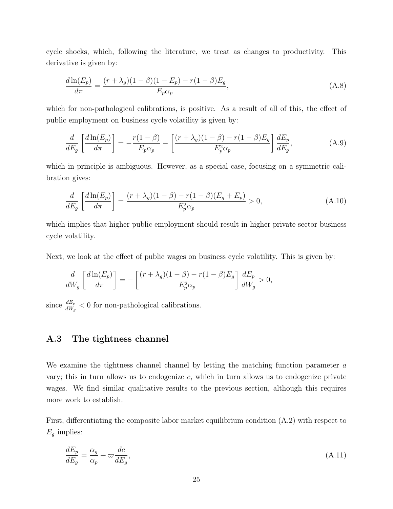cycle shocks, which, following the literature, we treat as changes to productivity. This derivative is given by:

$$
\frac{d\ln(E_p)}{d\pi} = \frac{(r + \lambda_g)(1 - \beta)(1 - E_p) - r(1 - \beta)E_g}{E_p \alpha_p},\tag{A.8}
$$

which for non-pathological calibrations, is positive. As a result of all of this, the effect of public employment on business cycle volatility is given by:

$$
\frac{d}{dE_g} \left[ \frac{d\ln(E_p)}{d\pi} \right] = -\frac{r(1-\beta)}{E_p \alpha_p} - \left[ \frac{(r+\lambda_g)(1-\beta) - r(1-\beta)E_g}{E_p^2 \alpha_p} \right] \frac{dE_p}{dE_g},\tag{A.9}
$$

which in principle is ambiguous. However, as a special case, focusing on a symmetric calibration gives:

$$
\frac{d}{dE_g} \left[ \frac{d\ln(E_p)}{d\pi} \right] = \frac{(r + \lambda_g)(1 - \beta) - r(1 - \beta)(E_g + E_p)}{E_p^2 \alpha_p} > 0,
$$
\n(A.10)

which implies that higher public employment should result in higher private sector business cycle volatility.

Next, we look at the effect of public wages on business cycle volatility. This is given by:

$$
\frac{d}{dW_g} \left[ \frac{d \ln(E_p)}{d\pi} \right] = - \left[ \frac{(r + \lambda_g)(1 - \beta) - r(1 - \beta)E_g}{E_p^2 \alpha_p} \right] \frac{dE_p}{dW_g} > 0,
$$

since  $\frac{dE_p}{dW_g} < 0$  for non-pathological calibrations.

### A.3 The tightness channel

We examine the tightness channel channel by letting the matching function parameter  $a$ vary; this in turn allows us to endogenize  $c$ , which in turn allows us to endogenize private wages. We find similar qualitative results to the previous section, although this requires more work to establish.

First, differentiating the composite labor market equilibrium condition (A.2) with respect to  $E<sub>g</sub>$  implies:

$$
\frac{dE_p}{dE_g} = \frac{\alpha_g}{\alpha_p} + \varpi \frac{dc}{dE_g},\tag{A.11}
$$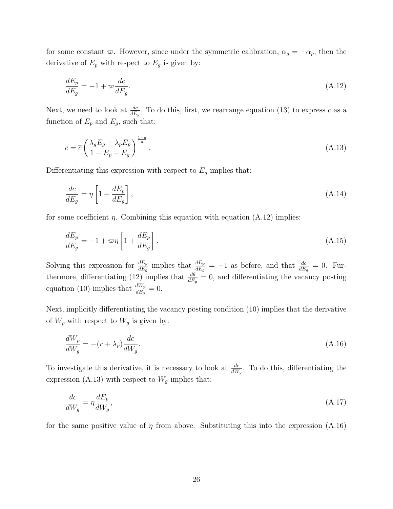for some constant  $\varpi$ . However, since under the symmetric calibration,  $\alpha_g = -\alpha_p$ , then the derivative of  $E_p$  with respect to  $E_g$  is given by:

$$
\frac{dE_p}{dE_g} = -1 + \varpi \frac{dc}{dE_g}.\tag{A.12}
$$

Next, we need to look at  $\frac{dc}{dE_g}$ . To do this, first, we rearrange equation (13) to express c as a function of  $E_p$  and  $E_g$ , such that:

$$
c = \overline{c} \left( \frac{\lambda_g E_g + \lambda_p E_p}{1 - E_p - E_g} \right)^{\frac{1 - a}{a}}.
$$
\n(A.13)

Differentiating this expression with respect to  $E<sub>g</sub>$  implies that:

$$
\frac{dc}{dE_g} = \eta \left[ 1 + \frac{dE_p}{dE_g} \right],\tag{A.14}
$$

for some coefficient  $\eta$ . Combining this equation with equation (A.12) implies:

$$
\frac{dE_p}{dE_g} = -1 + \varpi \eta \left[ 1 + \frac{dE_p}{dE_g} \right].
$$
\n(A.15)

Solving this expression for  $\frac{dE_p}{dE_g}$  implies that  $\frac{dE_p}{dE_g} = -1$  as before, and that  $\frac{dc}{dE_g} = 0$ . Furthermore, differentiating (12) implies that  $\frac{d\theta}{dE_g} = 0$ , and differentiating the vacancy posting equation (10) implies that  $\frac{dW_p}{dE_g} = 0$ .

Next, implicitly differentiating the vacancy posting condition (10) implies that the derivative of  $W_p$  with respect to  $W_g$  is given by:

$$
\frac{dW_p}{dW_g} = -(r + \lambda_p)\frac{dc}{dW_g}.\tag{A.16}
$$

To investigate this derivative, it is necessary to look at  $\frac{dc}{dW_g}$ . To do this, differentiating the expression (A.13) with respect to  $W_g$  implies that:

$$
\frac{dc}{dW_g} = \eta \frac{dE_p}{dW_g},\tag{A.17}
$$

for the same positive value of  $\eta$  from above. Substituting this into the expression (A.16)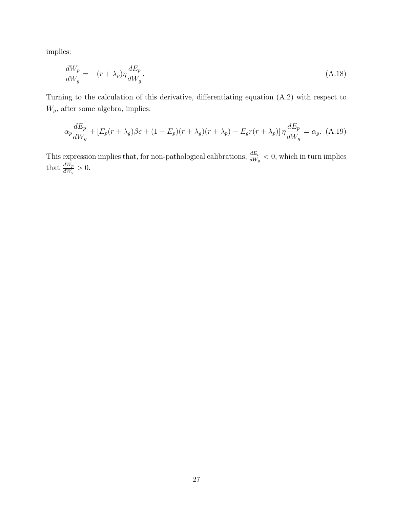implies:

$$
\frac{dW_p}{dW_g} = -(r + \lambda_p)\eta \frac{dE_p}{dW_g}.\tag{A.18}
$$

Turning to the calculation of this derivative, differentiating equation (A.2) with respect to  $W_g,$  after some algebra, implies:

$$
\alpha_p \frac{dE_p}{dW_g} + \left[ E_p(r + \lambda_g) \beta c + (1 - E_p)(r + \lambda_g)(r + \lambda_p) - E_g r(r + \lambda_p) \right] \eta \frac{dE_p}{dW_g} = \alpha_g. \tag{A.19}
$$

This expression implies that, for non-pathological calibrations,  $\frac{dE_p}{dW_g} < 0$ , which in turn implies that  $\frac{dW_p}{dW_g} > 0$ .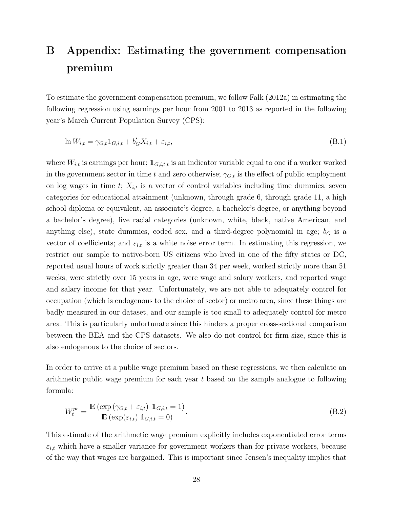## B Appendix: Estimating the government compensation premium

To estimate the government compensation premium, we follow Falk (2012a) in estimating the following regression using earnings per hour from 2001 to 2013 as reported in the following year's March Current Population Survey (CPS):

$$
\ln W_{i,t} = \gamma_{G,t} \mathbb{1}_{G,i,t} + b'_G X_{i,t} + \varepsilon_{i,t},\tag{B.1}
$$

where  $W_{i,t}$  is earnings per hour;  $\mathbb{1}_{G,i,t,t}$  is an indicator variable equal to one if a worker worked in the government sector in time t and zero otherwise;  $\gamma_{G,t}$  is the effect of public employment on log wages in time t;  $X_{i,t}$  is a vector of control variables including time dummies, seven categories for educational attainment (unknown, through grade 6, through grade 11, a high school diploma or equivalent, an associate's degree, a bachelor's degree, or anything beyond a bachelor's degree), five racial categories (unknown, white, black, native American, and anything else), state dummies, coded sex, and a third-degree polynomial in age;  $b_G$  is a vector of coefficients; and  $\varepsilon_{i,t}$  is a white noise error term. In estimating this regression, we restrict our sample to native-born US citizens who lived in one of the fifty states or DC, reported usual hours of work strictly greater than 34 per week, worked strictly more than 51 weeks, were strictly over 15 years in age, were wage and salary workers, and reported wage and salary income for that year. Unfortunately, we are not able to adequately control for occupation (which is endogenous to the choice of sector) or metro area, since these things are badly measured in our dataset, and our sample is too small to adequately control for metro area. This is particularly unfortunate since this hinders a proper cross-sectional comparison between the BEA and the CPS datasets. We also do not control for firm size, since this is also endogenous to the choice of sectors.

In order to arrive at a public wage premium based on these regressions, we then calculate an arithmetic public wage premium for each year t based on the sample analogue to following formula:

$$
W_t^{pr} = \frac{\mathbb{E}\left(\exp\left(\gamma_{G,t} + \varepsilon_{i,t}\right) | \mathbb{1}_{G,i,t} = 1\right)}{\mathbb{E}\left(\exp(\varepsilon_{i,t}) | \mathbb{1}_{G,i,t} = 0\right)}.\tag{B.2}
$$

This estimate of the arithmetic wage premium explicitly includes exponentiated error terms  $\varepsilon_{i,t}$  which have a smaller variance for government workers than for private workers, because of the way that wages are bargained. This is important since Jensen's inequality implies that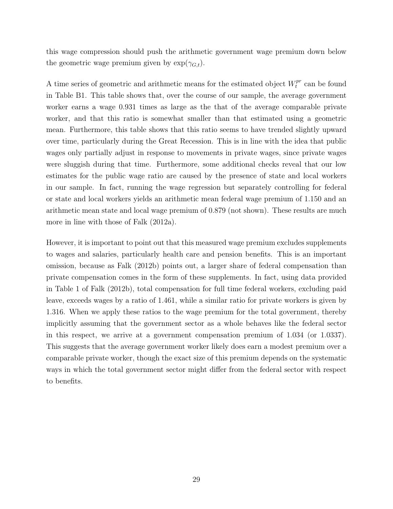this wage compression should push the arithmetic government wage premium down below the geometric wage premium given by  $\exp(\gamma_{G,t})$ .

A time series of geometric and arithmetic means for the estimated object  $W_t^{pr}$  $t^{pr}$  can be found in Table B1. This table shows that, over the course of our sample, the average government worker earns a wage 0.931 times as large as the that of the average comparable private worker, and that this ratio is somewhat smaller than that estimated using a geometric mean. Furthermore, this table shows that this ratio seems to have trended slightly upward over time, particularly during the Great Recession. This is in line with the idea that public wages only partially adjust in response to movements in private wages, since private wages were sluggish during that time. Furthermore, some additional checks reveal that our low estimates for the public wage ratio are caused by the presence of state and local workers in our sample. In fact, running the wage regression but separately controlling for federal or state and local workers yields an arithmetic mean federal wage premium of 1.150 and an arithmetic mean state and local wage premium of 0.879 (not shown). These results are much more in line with those of Falk (2012a).

However, it is important to point out that this measured wage premium excludes supplements to wages and salaries, particularly health care and pension benefits. This is an important omission, because as Falk (2012b) points out, a larger share of federal compensation than private compensation comes in the form of these supplements. In fact, using data provided in Table 1 of Falk (2012b), total compensation for full time federal workers, excluding paid leave, exceeds wages by a ratio of 1.461, while a similar ratio for private workers is given by 1.316. When we apply these ratios to the wage premium for the total government, thereby implicitly assuming that the government sector as a whole behaves like the federal sector in this respect, we arrive at a government compensation premium of 1.034 (or 1.0337). This suggests that the average government worker likely does earn a modest premium over a comparable private worker, though the exact size of this premium depends on the systematic ways in which the total government sector might differ from the federal sector with respect to benefits.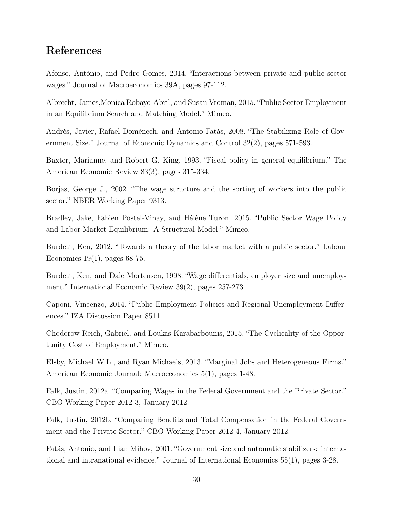### References

Afonso, António, and Pedro Gomes, 2014. "Interactions between private and public sector wages." Journal of Macroeconomics 39A, pages 97-112.

Albrecht, James,Monica Robayo-Abril, and Susan Vroman, 2015. "Public Sector Employment in an Equilibrium Search and Matching Model." Mimeo.

Andrés, Javier, Rafael Doménech, and Antonio Fatás, 2008. "The Stabilizing Role of Government Size." Journal of Economic Dynamics and Control 32(2), pages 571-593.

Baxter, Marianne, and Robert G. King, 1993. "Fiscal policy in general equilibrium." The American Economic Review 83(3), pages 315-334.

Borjas, George J., 2002. "The wage structure and the sorting of workers into the public sector." NBER Working Paper 9313.

Bradley, Jake, Fabien Postel-Vinay, and Hélène Turon, 2015. "Public Sector Wage Policy and Labor Market Equilibrium: A Structural Model." Mimeo.

Burdett, Ken, 2012. "Towards a theory of the labor market with a public sector." Labour Economics  $19(1)$ , pages 68-75.

Burdett, Ken, and Dale Mortensen, 1998. "Wage differentials, employer size and unemployment." International Economic Review 39(2), pages 257-273

Caponi, Vincenzo, 2014. "Public Employment Policies and Regional Unemployment Differences." IZA Discussion Paper 8511.

Chodorow-Reich, Gabriel, and Loukas Karabarbounis, 2015. "The Cyclicality of the Opportunity Cost of Employment." Mimeo.

Elsby, Michael W.L., and Ryan Michaels, 2013. "Marginal Jobs and Heterogeneous Firms." American Economic Journal: Macroeconomics 5(1), pages 1-48.

Falk, Justin, 2012a. "Comparing Wages in the Federal Government and the Private Sector." CBO Working Paper 2012-3, January 2012.

Falk, Justin, 2012b. "Comparing Benefits and Total Compensation in the Federal Government and the Private Sector." CBO Working Paper 2012-4, January 2012.

Fatás, Antonio, and Ilian Mihov, 2001. "Government size and automatic stabilizers: international and intranational evidence." Journal of International Economics 55(1), pages 3-28.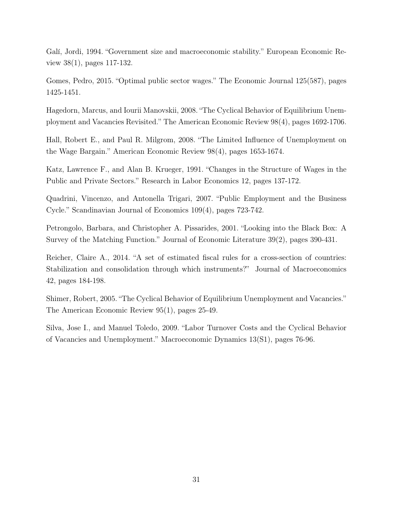Galí, Jordi, 1994. "Government size and macroeconomic stability." European Economic Review 38(1), pages 117-132.

Gomes, Pedro, 2015. "Optimal public sector wages." The Economic Journal 125(587), pages 1425-1451.

Hagedorn, Marcus, and Iourii Manovskii, 2008. "The Cyclical Behavior of Equilibrium Unemployment and Vacancies Revisited." The American Economic Review 98(4), pages 1692-1706.

Hall, Robert E., and Paul R. Milgrom, 2008. "The Limited Influence of Unemployment on the Wage Bargain." American Economic Review 98(4), pages 1653-1674.

Katz, Lawrence F., and Alan B. Krueger, 1991. "Changes in the Structure of Wages in the Public and Private Sectors." Research in Labor Economics 12, pages 137-172.

Quadrini, Vincenzo, and Antonella Trigari, 2007. "Public Employment and the Business Cycle." Scandinavian Journal of Economics 109(4), pages 723-742.

Petrongolo, Barbara, and Christopher A. Pissarides, 2001. "Looking into the Black Box: A Survey of the Matching Function." Journal of Economic Literature 39(2), pages 390-431.

Reicher, Claire A., 2014. "A set of estimated fiscal rules for a cross-section of countries: Stabilization and consolidation through which instruments?" Journal of Macroeconomics 42, pages 184-198.

Shimer, Robert, 2005. "The Cyclical Behavior of Equilibrium Unemployment and Vacancies." The American Economic Review 95(1), pages 25-49.

Silva, Jose I., and Manuel Toledo, 2009. "Labor Turnover Costs and the Cyclical Behavior of Vacancies and Unemployment." Macroeconomic Dynamics 13(S1), pages 76-96.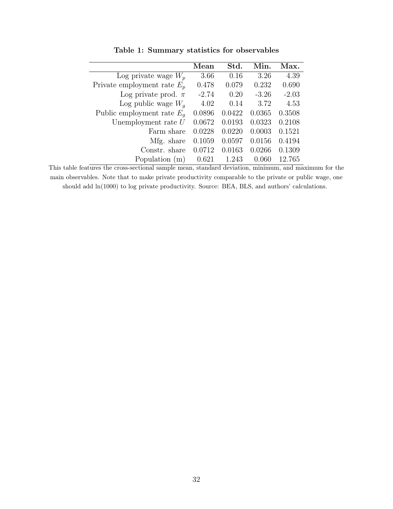|                               | Mean    | Std.   | Min.    | Max.    |
|-------------------------------|---------|--------|---------|---------|
| Log private wage $W_p$        | 3.66    | 0.16   | 3.26    | 4.39    |
| Private employment rate $E_p$ | 0.478   | 0.079  | 0.232   | 0.690   |
| Log private prod. $\pi$       | $-2.74$ | 0.20   | $-3.26$ | $-2.03$ |
| Log public wage $W_a$         | 4.02    | 0.14   | 3.72    | 4.53    |
| Public employment rate $E_q$  | 0.0896  | 0.0422 | 0.0365  | 0.3508  |
| Unemployment rate $U$         | 0.0672  | 0.0193 | 0.0323  | 0.2108  |
| Farm share                    | 0.0228  | 0.0220 | 0.0003  | 0.1521  |
| Mfg. share                    | 0.1059  | 0.0597 | 0.0156  | 0.4194  |
| Constr. share                 | 0.0712  | 0.0163 | 0.0266  | 0.1309  |
| Population (m)                | 0.621   | 1.243  | 0.060   | 12.765  |

Table 1: Summary statistics for observables

This table features the cross-sectional sample mean, standard deviation, minimum, and maximum for the main observables. Note that to make private productivity comparable to the private or public wage, one should add ln(1000) to log private productivity. Source: BEA, BLS, and authors' calculations.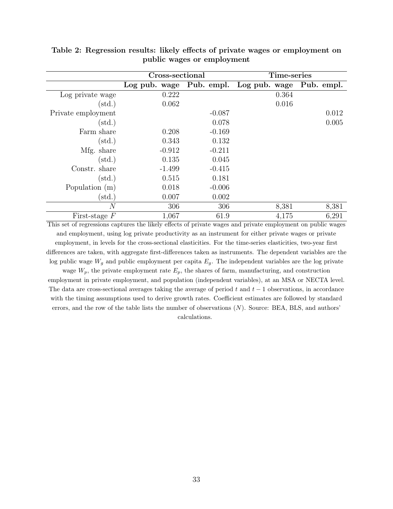|                    | Cross-sectional |            | Time-series   |            |
|--------------------|-----------------|------------|---------------|------------|
|                    | Log pub. wage   | Pub. empl. | Log pub. wage | Pub. empl. |
| Log private wage   | 0.222           |            | 0.364         |            |
| $(\text{std.})$    | 0.062           |            | 0.016         |            |
| Private employment |                 | $-0.087$   |               | 0.012      |
| $(\mathrm{std.})$  |                 | 0.078      |               | 0.005      |
| Farm share         | 0.208           | $-0.169$   |               |            |
| $(\text{std.})$    | 0.343           | 0.132      |               |            |
| Mfg. share         | $-0.912$        | $-0.211$   |               |            |
| $(\mathrm{std.})$  | 0.135           | 0.045      |               |            |
| Constr. share      | $-1.499$        | $-0.415$   |               |            |
| $(\mathrm{std.})$  | 0.515           | 0.181      |               |            |
| Population $(m)$   | 0.018           | $-0.006$   |               |            |
| $(\mathrm{std.})$  | 0.007           | 0.002      |               |            |
| $\,N$              | 306             | 306        | 8,381         | 8,381      |
| First-stage $F$    | 1,067           | 61.9       | 4,175         | 6,291      |

Table 2: Regression results: likely effects of private wages or employment on public wages or employment

This set of regressions captures the likely effects of private wages and private employment on public wages and employment, using log private productivity as an instrument for either private wages or private employment, in levels for the cross-sectional elasticities. For the time-series elasticities, two-year first differences are taken, with aggregate first-differences taken as instruments. The dependent variables are the log public wage  $W_g$  and public employment per capita  $E_g$ . The independent variables are the log private wage  $W_p$ , the private employment rate  $E_p$ , the shares of farm, manufacturing, and construction employment in private employment, and population (independent variables), at an MSA or NECTA level. The data are cross-sectional averages taking the average of period t and  $t - 1$  observations, in accordance with the timing assumptions used to derive growth rates. Coefficient estimates are followed by standard errors, and the row of the table lists the number of observations  $(N)$ . Source: BEA, BLS, and authors' calculations.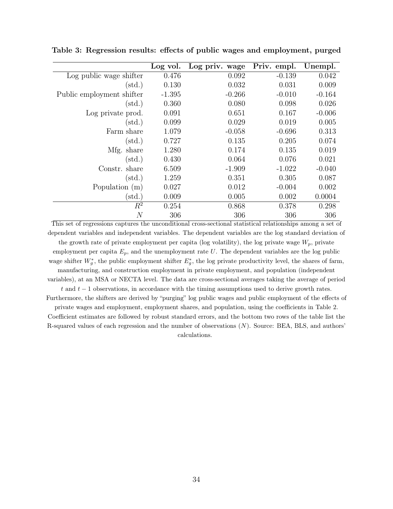|                           | Log vol. | Log priv. wage | Priv. empl. | Unempl.  |
|---------------------------|----------|----------------|-------------|----------|
| Log public wage shifter   | 0.476    | 0.092          | $-0.139$    | 0.042    |
| $(\mathrm{std.})$         | 0.130    | 0.032          | 0.031       | 0.009    |
| Public employment shifter | $-1.395$ | $-0.266$       | $-0.010$    | $-0.164$ |
| $(\mathrm{std.})$         | 0.360    | 0.080          | 0.098       | 0.026    |
| Log private prod.         | 0.091    | 0.651          | 0.167       | $-0.006$ |
| $(\mathrm{std.})$         | 0.099    | 0.029          | 0.019       | 0.005    |
| Farm share                | 1.079    | $-0.058$       | $-0.696$    | 0.313    |
| $(\mathrm{std.})$         | 0.727    | 0.135          | 0.205       | 0.074    |
| Mfg. share                | 1.280    | 0.174          | 0.135       | 0.019    |
| $(\mathrm{std.})$         | 0.430    | 0.064          | 0.076       | 0.021    |
| Constr. share             | 6.509    | $-1.909$       | $-1.022$    | $-0.040$ |
| $(\text{std.})$           | 1.259    | 0.351          | 0.305       | 0.087    |
| Population (m)            | 0.027    | 0.012          | $-0.004$    | 0.002    |
| $(\mathrm{std.})$         | 0.009    | 0.005          | 0.002       | 0.0004   |
| $\,R^2$                   | 0.254    | 0.868          | 0.378       | 0.298    |
| N                         | 306      | 306            | 306         | 306      |

Table 3: Regression results: effects of public wages and employment, purged

This set of regressions captures the unconditional cross-sectional statistical relationships among a set of dependent variables and independent variables. The dependent variables are the log standard deviation of the growth rate of private employment per capita (log volatility), the log private wage  $W_p$ , private employment per capita  $E_p$ , and the unemployment rate U. The dependent variables are the log public wage shifter  $W_g^*$ , the public employment shifter  $E_g^*$ , the log private productivity level, the shares of farm, manufacturing, and construction employment in private employment, and population (independent variables), at an MSA or NECTA level. The data are cross-sectional averages taking the average of period t and  $t-1$  observations, in accordance with the timing assumptions used to derive growth rates. Furthermore, the shifters are derived by "purging" log public wages and public employment of the effects of private wages and employment, employment shares, and population, using the coefficients in Table 2. Coefficient estimates are followed by robust standard errors, and the bottom two rows of the table list the R-squared values of each regression and the number of observations (N). Source: BEA, BLS, and authors'

calculations.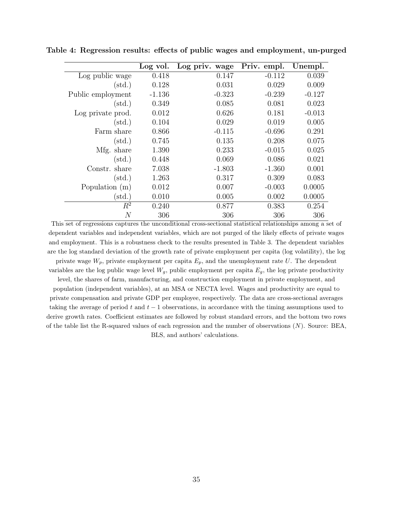|                   | Log vol. | Log priv. wage | Priv. empl. | Unempl.  |
|-------------------|----------|----------------|-------------|----------|
| Log public wage   | 0.418    | 0.147          | $-0.112$    | 0.039    |
| $(\text{std.})$   | 0.128    | 0.031          | 0.029       | 0.009    |
| Public employment | $-1.136$ | $-0.323$       | $-0.239$    | $-0.127$ |
| $(\text{std.})$   | 0.349    | 0.085          | 0.081       | 0.023    |
| Log private prod. | 0.012    | 0.626          | 0.181       | $-0.013$ |
| $(\text{std.})$   | 0.104    | 0.029          | 0.019       | 0.005    |
| Farm share        | 0.866    | $-0.115$       | $-0.696$    | 0.291    |
| $(\text{std.})$   | 0.745    | 0.135          | 0.208       | 0.075    |
| Mfg. share        | 1.390    | 0.233          | $-0.015$    | 0.025    |
| $(\text{std.})$   | 0.448    | 0.069          | 0.086       | 0.021    |
| Constr. share     | 7.038    | $-1.803$       | $-1.360$    | 0.001    |
| $(\text{std.})$   | 1.263    | 0.317          | 0.309       | 0.083    |
| Population $(m)$  | 0.012    | 0.007          | $-0.003$    | 0.0005   |
| $(\mathrm{std.})$ | 0.010    | 0.005          | 0.002       | 0.0005   |
| $R^2$             | 0.240    | 0.877          | 0.383       | 0.254    |
| $\overline{N}$    | 306      | 306            | 306         | 306      |

Table 4: Regression results: effects of public wages and employment, un-purged

This set of regressions captures the unconditional cross-sectional statistical relationships among a set of dependent variables and independent variables, which are not purged of the likely effects of private wages and employment. This is a robustness check to the results presented in Table 3. The dependent variables are the log standard deviation of the growth rate of private employment per capita (log volatility), the log private wage  $W_p$ , private employment per capita  $E_p$ , and the unemployment rate U. The dependent variables are the log public wage level  $W_g$ , public employment per capita  $E_g$ , the log private productivity level, the shares of farm, manufacturing, and construction employment in private employment, and population (independent variables), at an MSA or NECTA level. Wages and productivity are equal to private compensation and private GDP per employee, respectively. The data are cross-sectional averages taking the average of period t and  $t - 1$  observations, in accordance with the timing assumptions used to derive growth rates. Coefficient estimates are followed by robust standard errors, and the bottom two rows of the table list the R-squared values of each regression and the number of observations  $(N)$ . Source: BEA, BLS, and authors' calculations.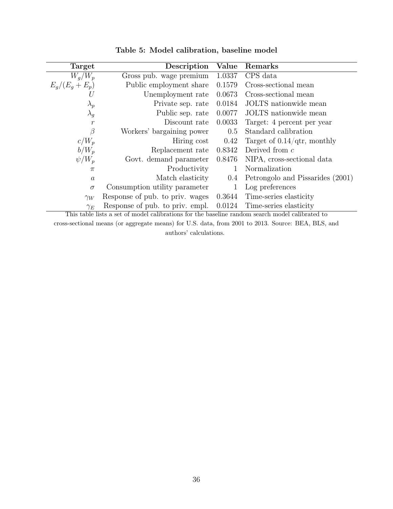| Target           | Description                     | Value   | Remarks                               |
|------------------|---------------------------------|---------|---------------------------------------|
| $W_q/W_p$        | Gross pub. wage premium         | 1.0337  | CPS data                              |
| $E_q/(E_q+E_p)$  | Public employment share         | 0.1579  | Cross-sectional mean                  |
| U                | Unemployment rate               | 0.0673  | Cross-sectional mean                  |
| $\lambda_p$      | Private sep. rate               | 0.0184  | JOLTS nationwide mean                 |
| $\lambda_g$      | Public sep. rate                | 0.0077  | JOLTS nationwide mean                 |
| $\boldsymbol{r}$ | Discount rate                   | 0.0033  | Target: 4 percent per year            |
| β                | Workers' bargaining power       | 0.5     | Standard calibration                  |
| $c/W_p$          | Hiring cost                     | 0.42    | Target of $0.14/\text{qtr}$ , monthly |
| $b/W_n$          | Replacement rate                | 0.8342  | Derived from $c$                      |
| $\psi/W_p$       | Govt. demand parameter          | 0.8476  | NIPA, cross-sectional data            |
| $\pi$            | Productivity                    | 1       | Normalization                         |
| $\boldsymbol{a}$ | Match elasticity                | $0.4\,$ | Petrongolo and Pissarides (2001)      |
| $\sigma$         | Consumption utility parameter   |         | Log preferences                       |
| $\gamma_W$       | Response of pub. to priv. wages | 0.3644  | Time-series elasticity                |
| $\gamma_E$       | Response of pub. to priv. empl. | 0.0124  | Time-series elasticity                |

Table 5: Model calibration, baseline model

This table lists a set of model calibrations for the baseline random search model calibrated to

cross-sectional means (or aggregate means) for U.S. data, from 2001 to 2013. Source: BEA, BLS, and authors' calculations.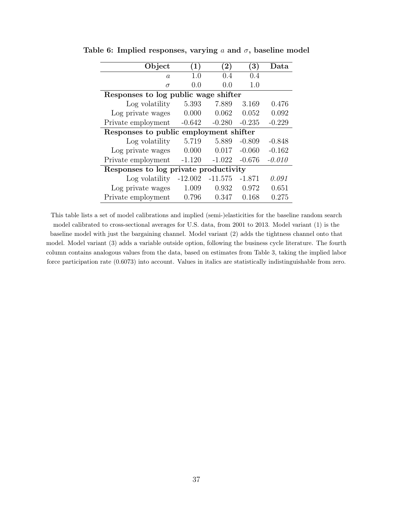| Object                                 | (1)       | $\bf(2)$  | (3)      | Data     |  |
|----------------------------------------|-----------|-----------|----------|----------|--|
| $\overline{a}$                         | 1.0       | 0.4       | 0.4      |          |  |
| $\sigma$                               | 0.0       | 0.0       | 1.0      |          |  |
| Responses to log public wage shifter   |           |           |          |          |  |
| Log volatility                         | 5.393     | 7.889     | 3.169    | 0.476    |  |
| Log private wages                      | 0.000     | 0.062     | 0.052    | 0.092    |  |
| Private employment                     | $-0.642$  | $-0.280$  | $-0.235$ | $-0.229$ |  |
| Responses to public employment shifter |           |           |          |          |  |
| Log volatility                         | 5.719     | 5.889     | $-0.809$ | $-0.848$ |  |
| Log private wages                      | 0.000     | 0.017     | $-0.060$ | $-0.162$ |  |
| Private employment                     | $-1.120$  | $-1.022$  | $-0.676$ | $-0.010$ |  |
| Responses to log private productivity  |           |           |          |          |  |
| Log volatility                         | $-12.002$ | $-11.575$ | $-1.871$ | 0.091    |  |
| Log private wages                      | 1.009     | 0.932     | 0.972    | 0.651    |  |
| Private employment                     | 0.796     | 0.347     | 0.168    | 0.275    |  |

Table 6: Implied responses, varying  $a$  and  $\sigma$ , baseline model

This table lists a set of model calibrations and implied (semi-)elasticities for the baseline random search model calibrated to cross-sectional averages for U.S. data, from 2001 to 2013. Model variant (1) is the baseline model with just the bargaining channel. Model variant (2) adds the tightness channel onto that model. Model variant (3) adds a variable outside option, following the business cycle literature. The fourth column contains analogous values from the data, based on estimates from Table 3, taking the implied labor force participation rate (0.6073) into account. Values in italics are statistically indistinguishable from zero.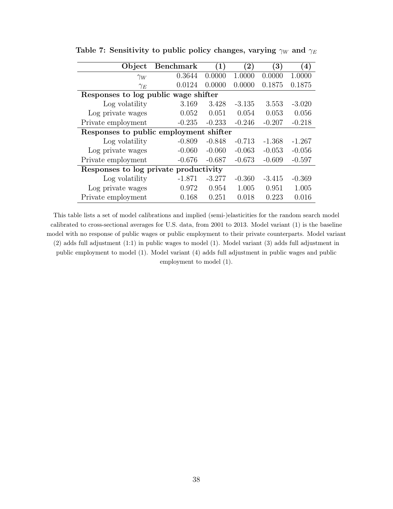| Object                                 | <b>Benchmark</b> | $\left(1\right)$ | $\bf (2)$ | $\mathbf{3})$ | $\left( 4\right)$ |  |
|----------------------------------------|------------------|------------------|-----------|---------------|-------------------|--|
| $\gamma_W$                             | 0.3644           | 0.0000           | 1.0000    | 0.0000        | 1.0000            |  |
| $\gamma_E$                             | 0.0124           | 0.0000           | 0.0000    | 0.1875        | 0.1875            |  |
| Responses to log public wage shifter   |                  |                  |           |               |                   |  |
| Log volatility                         | 3.169            | 3.428            | $-3.135$  | 3.553         | $-3.020$          |  |
| Log private wages                      | 0.052            | 0.051            | 0.054     | 0.053         | 0.056             |  |
| Private employment                     | $-0.235$         | $-0.233$         | $-0.246$  | $-0.207$      | $-0.218$          |  |
| Responses to public employment shifter |                  |                  |           |               |                   |  |
| Log volatility                         | $-0.809$         | $-0.848$         | $-0.713$  | $-1.368$      | $-1.267$          |  |
| Log private wages                      | $-0.060$         | $-0.060$         | $-0.063$  | $-0.053$      | $-0.056$          |  |
| Private employment                     | $-0.676$         | $-0.687$         | $-0.673$  | $-0.609$      | $-0.597$          |  |
| Responses to log private productivity  |                  |                  |           |               |                   |  |
| Log volatility                         | $-1.871$         | $-3.277$         | $-0.360$  | $-3.415$      | $-0.369$          |  |
| Log private wages                      | 0.972            | 0.954            | 1.005     | 0.951         | 1.005             |  |
| Private employment                     | 0.168            | 0.251            | 0.018     | 0.223         | 0.016             |  |

Table 7: Sensitivity to public policy changes, varying  $\gamma_W$  and  $\gamma_E$ 

This table lists a set of model calibrations and implied (semi-)elasticities for the random search model calibrated to cross-sectional averages for U.S. data, from 2001 to 2013. Model variant (1) is the baseline model with no response of public wages or public employment to their private counterparts. Model variant (2) adds full adjustment (1:1) in public wages to model (1). Model variant (3) adds full adjustment in public employment to model (1). Model variant (4) adds full adjustment in public wages and public employment to model (1).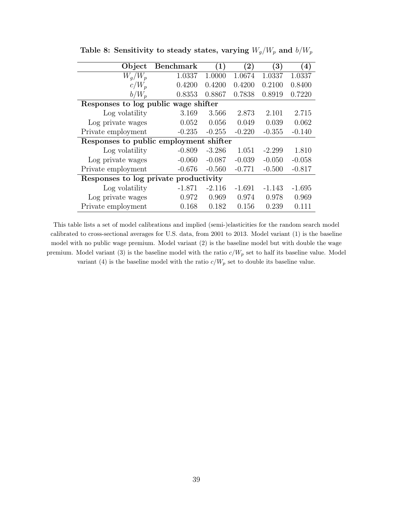| Object                                | <b>Benchmark</b>                          | (1)      | $\bf (2)$ | $\left( 3\right)$ | $\left( 4\right)$ |  |  |
|---------------------------------------|-------------------------------------------|----------|-----------|-------------------|-------------------|--|--|
| $W_q/W_p$                             | 1.0337                                    | 1.0000   | 1.0674    | 1.0337            | 1.0337            |  |  |
| $c/W_p$                               | 0.4200                                    | 0.4200   | 0.4200    | 0.2100            | 0.8400            |  |  |
| $b/W_p$                               | 0.8353                                    | 0.8867   | 0.7838    | 0.8919            | 0.7220            |  |  |
| Responses to log public wage shifter  |                                           |          |           |                   |                   |  |  |
| Log volatility                        | 3.169                                     | 3.566    | 2.873     | 2.101             | 2.715             |  |  |
| Log private wages                     | 0.052                                     | 0.056    | 0.049     | 0.039             | 0.062             |  |  |
| Private employment                    | $-0.235$                                  | $-0.255$ | $-0.220$  | $-0.355$          | $-0.140$          |  |  |
|                                       | shifter<br>Responses to public employment |          |           |                   |                   |  |  |
| Log volatility                        | $-0.809$                                  | $-3.286$ | 1.051     | $-2.299$          | 1.810             |  |  |
| Log private wages                     | $-0.060$                                  | $-0.087$ | $-0.039$  | $-0.050$          | $-0.058$          |  |  |
| Private employment                    | $-0.676$                                  | $-0.560$ | $-0.771$  | $-0.500$          | $-0.817$          |  |  |
| Responses to log private productivity |                                           |          |           |                   |                   |  |  |
| Log volatility                        | $-1.871$                                  | $-2.116$ | $-1.691$  | $-1.143$          | $-1.695$          |  |  |
| Log private wages                     | 0.972                                     | 0.969    | 0.974     | 0.978             | 0.969             |  |  |
| Private employment                    | 0.168                                     | 0.182    | 0.156     | 0.239             | 0.111             |  |  |

Table 8: Sensitivity to steady states, varying  $W_g/W_p$  and  $b/W_p$ 

This table lists a set of model calibrations and implied (semi-)elasticities for the random search model calibrated to cross-sectional averages for U.S. data, from 2001 to 2013. Model variant (1) is the baseline model with no public wage premium. Model variant (2) is the baseline model but with double the wage premium. Model variant (3) is the baseline model with the ratio  $c/W_p$  set to half its baseline value. Model variant (4) is the baseline model with the ratio  $c/W_p$  set to double its baseline value.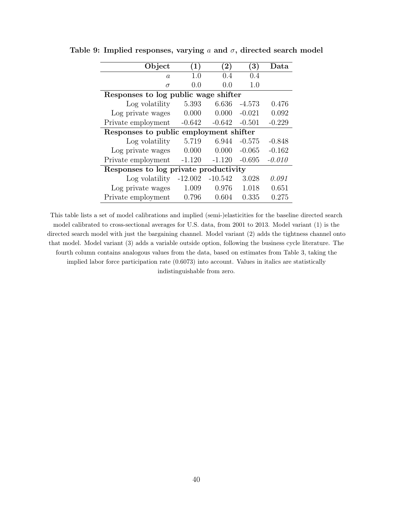| Object                                 | (1)       | $\rm(2)$  | (3)      | Data     |  |  |
|----------------------------------------|-----------|-----------|----------|----------|--|--|
| a                                      | 1.0       | 0.4       | 0.4      |          |  |  |
| $\sigma$                               | 0.0       | 0.0       | 1.0      |          |  |  |
| Responses to log public wage shifter   |           |           |          |          |  |  |
| Log volatility                         | 5.393     | 6.636     | $-4.573$ | 0.476    |  |  |
| Log private wages                      | 0.000     | 0.000     | $-0.021$ | 0.092    |  |  |
| Private employment                     | $-0.642$  | $-0.642$  | $-0.501$ | $-0.229$ |  |  |
| Responses to public employment shifter |           |           |          |          |  |  |
| Log volatility                         | 5.719     | 6.944     | $-0.575$ | $-0.848$ |  |  |
| Log private wages                      | 0.000     | 0.000     | $-0.065$ | $-0.162$ |  |  |
| Private employment                     | $-1.120$  | $-1.120$  | $-0.695$ | $-0.010$ |  |  |
| Responses to log private productivity  |           |           |          |          |  |  |
| Log volatility                         | $-12.002$ | $-10.542$ | 3.028    | 0.091    |  |  |
| Log private wages                      | 1.009     | 0.976     | 1.018    | 0.651    |  |  |
| Private employment                     | 0.796     | 0.604     | 0.335    | 0.275    |  |  |

Table 9: Implied responses, varying a and  $\sigma$ , directed search model

This table lists a set of model calibrations and implied (semi-)elasticities for the baseline directed search model calibrated to cross-sectional averages for U.S. data, from 2001 to 2013. Model variant (1) is the directed search model with just the bargaining channel. Model variant (2) adds the tightness channel onto that model. Model variant (3) adds a variable outside option, following the business cycle literature. The fourth column contains analogous values from the data, based on estimates from Table 3, taking the implied labor force participation rate (0.6073) into account. Values in italics are statistically indistinguishable from zero.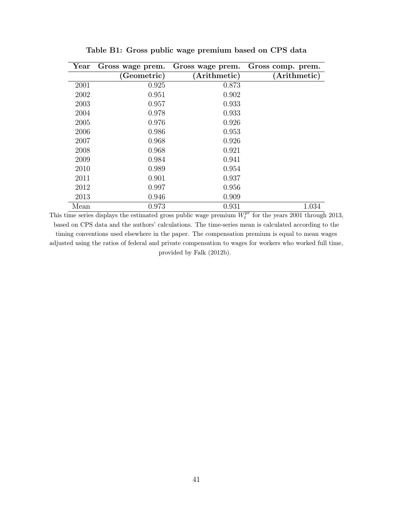| Year | Gross wage prem. | Gross wage prem. | Gross comp. prem. |
|------|------------------|------------------|-------------------|
|      | Geometric)       | Arithmetic)      | (Arithmetic)      |
| 2001 | 0.925            | 0.873            |                   |
| 2002 | 0.951            | 0.902            |                   |
| 2003 | 0.957            | 0.933            |                   |
| 2004 | 0.978            | 0.933            |                   |
| 2005 | 0.976            | 0.926            |                   |
| 2006 | 0.986            | 0.953            |                   |
| 2007 | 0.968            | 0.926            |                   |
| 2008 | 0.968            | 0.921            |                   |
| 2009 | 0.984            | 0.941            |                   |
| 2010 | 0.989            | 0.954            |                   |
| 2011 | 0.901            | 0.937            |                   |
| 2012 | 0.997            | 0.956            |                   |
| 2013 | 0.946            | 0.909            |                   |
| Mean | 0.973            | 0.931            | 1.034             |

Table B1: Gross public wage premium based on CPS data

This time series displays the estimated gross public wage premium  $W_t^{pr}$  for the years 2001 through 2013, based on CPS data and the authors' calculations. The time-series mean is calculated according to the timing conventions used elsewhere in the paper. The compensation premium is equal to mean wages adjusted using the ratios of federal and private compensation to wages for workers who worked full time, provided by Falk (2012b).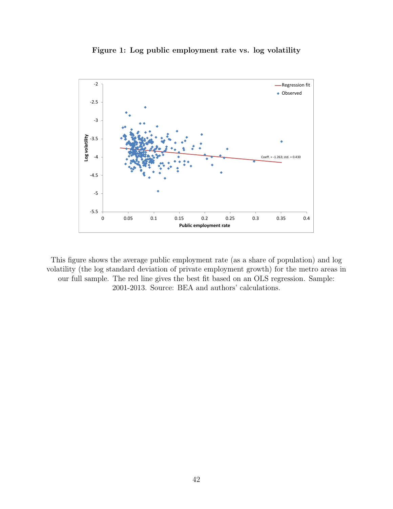



This figure shows the average public employment rate (as a share of population) and log volatility (the log standard deviation of private employment growth) for the metro areas in our full sample. The red line gives the best fit based on an OLS regression. Sample: 2001-2013. Source: BEA and authors' calculations.